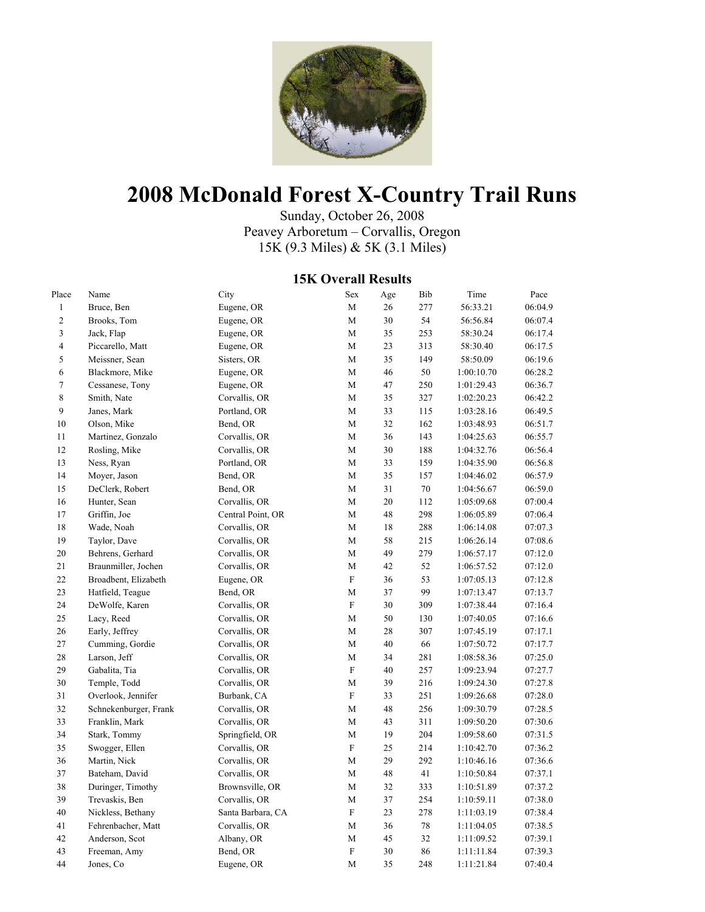

# **2008 McDonald Forest X-Country Trail Runs**

Sunday, October 26, 2008 Peavey Arboretum – Corvallis, Oregon 15K (9.3 Miles) & 5K (3.1 Miles)

### **15K Overall Results**

| Place          | Name                  | City              | Sex                       | Age | Bib | Time       | Pace    |
|----------------|-----------------------|-------------------|---------------------------|-----|-----|------------|---------|
| $\mathbf{1}$   | Bruce, Ben            | Eugene, OR        | M                         | 26  | 277 | 56:33.21   | 06:04.9 |
| $\sqrt{2}$     | Brooks, Tom           | Eugene, OR        | M                         | 30  | 54  | 56:56.84   | 06:07.4 |
| $\mathfrak z$  | Jack, Flap            | Eugene, OR        | M                         | 35  | 253 | 58:30.24   | 06:17.4 |
| $\overline{4}$ | Piccarello, Matt      | Eugene, OR        | M                         | 23  | 313 | 58:30.40   | 06:17.5 |
| 5              | Meissner, Sean        | Sisters, OR       | M                         | 35  | 149 | 58:50.09   | 06:19.6 |
| 6              | Blackmore, Mike       | Eugene, OR        | M                         | 46  | 50  | 1:00:10.70 | 06:28.2 |
| 7              | Cessanese, Tony       | Eugene, OR        | M                         | 47  | 250 | 1:01:29.43 | 06:36.7 |
| 8              | Smith, Nate           | Corvallis, OR     | M                         | 35  | 327 | 1:02:20.23 | 06:42.2 |
| 9              | Janes, Mark           | Portland, OR      | M                         | 33  | 115 | 1:03:28.16 | 06:49.5 |
| 10             | Olson, Mike           | Bend, OR          | M                         | 32  | 162 | 1:03:48.93 | 06:51.7 |
| 11             | Martinez, Gonzalo     | Corvallis, OR     | M                         | 36  | 143 | 1:04:25.63 | 06:55.7 |
| 12             | Rosling, Mike         | Corvallis, OR     | M                         | 30  | 188 | 1:04:32.76 | 06:56.4 |
| 13             | Ness, Ryan            | Portland, OR      | M                         | 33  | 159 | 1:04:35.90 | 06:56.8 |
| 14             | Moyer, Jason          | Bend, OR          | M                         | 35  | 157 | 1:04:46.02 | 06:57.9 |
| 15             | DeClerk, Robert       | Bend, OR          | $\mathbf M$               | 31  | 70  | 1:04:56.67 | 06:59.0 |
| 16             | Hunter, Sean          | Corvallis, OR     | M                         | 20  | 112 | 1:05:09.68 | 07:00.4 |
| 17             | Griffin, Joe          | Central Point, OR | $\mathbf M$               | 48  | 298 | 1:06:05.89 | 07:06.4 |
| 18             | Wade, Noah            | Corvallis, OR     | M                         | 18  | 288 | 1:06:14.08 | 07:07.3 |
| 19             | Taylor, Dave          | Corvallis, OR     | $\mathbf M$               | 58  | 215 | 1:06:26.14 | 07:08.6 |
| 20             | Behrens, Gerhard      | Corvallis, OR     | M                         | 49  | 279 | 1:06:57.17 | 07:12.0 |
| 21             | Braunmiller, Jochen   | Corvallis, OR     | $\mathbf M$               | 42  | 52  | 1:06:57.52 | 07:12.0 |
| 22             | Broadbent, Elizabeth  | Eugene, OR        | $\boldsymbol{\mathrm{F}}$ | 36  | 53  | 1:07:05.13 | 07:12.8 |
| 23             | Hatfield, Teague      | Bend, OR          | $\mathbf M$               | 37  | 99  | 1:07:13.47 | 07:13.7 |
| 24             | DeWolfe, Karen        | Corvallis, OR     | $\boldsymbol{\mathrm{F}}$ | 30  | 309 | 1:07:38.44 | 07:16.4 |
| 25             | Lacy, Reed            | Corvallis, OR     | M                         | 50  | 130 | 1:07:40.05 | 07:16.6 |
| 26             | Early, Jeffrey        | Corvallis, OR     | M                         | 28  | 307 | 1:07:45.19 | 07:17.1 |
| 27             | Cumming, Gordie       | Corvallis, OR     | M                         | 40  | 66  | 1:07:50.72 | 07:17.7 |
| 28             | Larson, Jeff          | Corvallis, OR     | M                         | 34  | 281 | 1:08:58.36 | 07:25.0 |
| 29             | Gabalita, Tia         | Corvallis, OR     | ${\rm F}$                 | 40  | 257 | 1:09:23.94 | 07:27.7 |
| 30             | Temple, Todd          | Corvallis, OR     | M                         | 39  | 216 | 1:09:24.30 | 07:27.8 |
| 31             | Overlook, Jennifer    | Burbank, CA       | $\boldsymbol{\mathrm{F}}$ | 33  | 251 | 1:09:26.68 | 07:28.0 |
| 32             | Schnekenburger, Frank | Corvallis, OR     | $\mathbf M$               | 48  | 256 | 1:09:30.79 | 07:28.5 |
| 33             | Franklin, Mark        | Corvallis, OR     | M                         | 43  | 311 | 1:09:50.20 | 07:30.6 |
| 34             | Stark, Tommy          | Springfield, OR   | M                         | 19  | 204 | 1:09:58.60 | 07:31.5 |
| 35             | Swogger, Ellen        | Corvallis, OR     | $\boldsymbol{\mathrm{F}}$ | 25  | 214 | 1:10:42.70 | 07:36.2 |
| 36             | Martin, Nick          | Corvallis, OR     | M                         | 29  | 292 | 1:10:46.16 | 07:36.6 |
| 37             | Bateham, David        | Corvallis, OR     | M                         | 48  | 41  | 1:10:50.84 | 07:37.1 |
| 38             | Duringer, Timothy     | Brownsville, OR   | M                         | 32  | 333 | 1:10:51.89 | 07:37.2 |
| 39             | Trevaskis, Ben        | Corvallis, OR     | M                         | 37  | 254 | 1:10:59.11 | 07:38.0 |
| 40             | Nickless, Bethany     | Santa Barbara, CA | $\boldsymbol{\mathrm{F}}$ | 23  | 278 | 1:11:03.19 | 07:38.4 |
| 41             | Fehrenbacher, Matt    | Corvallis, OR     | M                         | 36  | 78  | 1:11:04.05 | 07:38.5 |
| 42             | Anderson, Scot        | Albany, OR        | M                         | 45  | 32  | 1:11:09.52 | 07:39.1 |
| 43             | Freeman, Amy          | Bend, OR          | ${\rm F}$                 | 30  | 86  | 1:11:11.84 | 07:39.3 |
| 44             | Jones, Co             | Eugene, OR        | M                         | 35  | 248 | 1:11:21.84 | 07:40.4 |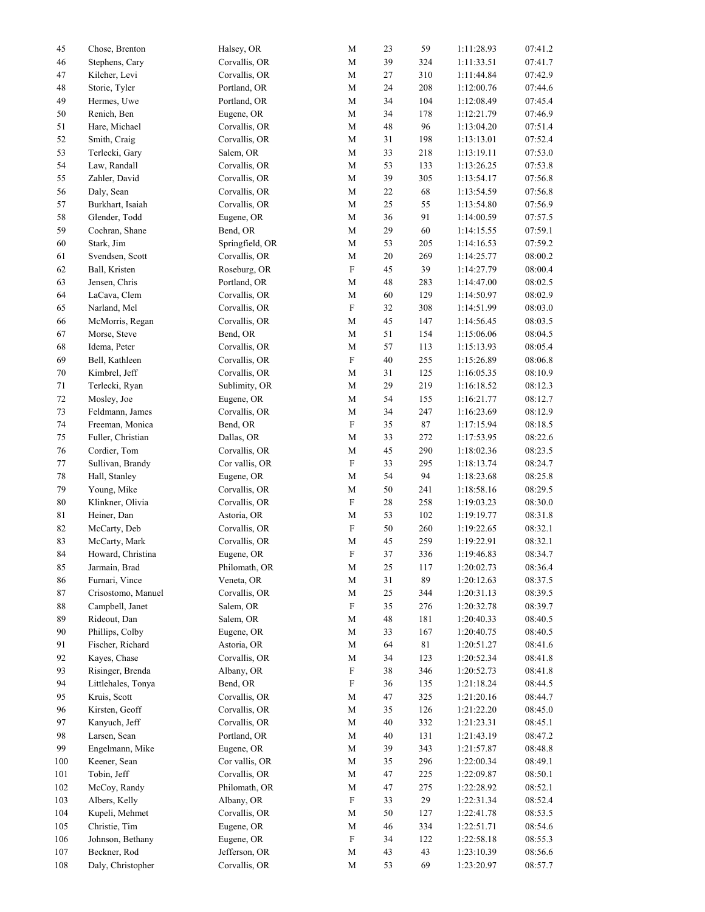| 45     | Chose, Brenton     | Halsey, OR      | $\mathbf M$               | 23     | 59          | 1:11:28.93 | 07:41.2 |
|--------|--------------------|-----------------|---------------------------|--------|-------------|------------|---------|
| 46     | Stephens, Cary     | Corvallis, OR   | $\mathbf M$               | 39     | 324         | 1:11:33.51 | 07:41.7 |
| 47     | Kilcher, Levi      | Corvallis, OR   | $\mathbf M$               | 27     | 310         | 1:11:44.84 | 07:42.9 |
| 48     | Storie, Tyler      | Portland, OR    | $\mathbf M$               | 24     | 208         | 1:12:00.76 | 07:44.6 |
| 49     | Hermes, Uwe        | Portland, OR    | $\mathbf M$               | 34     | 104         | 1:12:08.49 | 07:45.4 |
| 50     | Renich, Ben        | Eugene, OR      | $\mathbf M$               | 34     | 178         | 1:12:21.79 | 07:46.9 |
| 51     | Hare, Michael      | Corvallis, OR   | $\mathbf M$               | 48     | 96          | 1:13:04.20 | 07:51.4 |
| 52     | Smith, Craig       | Corvallis, OR   | $\mathbf M$               | 31     | 198         | 1:13:13.01 | 07:52.4 |
| 53     | Terlecki, Gary     | Salem, OR       | $\mathbf M$               | 33     | 218         | 1:13:19.11 | 07:53.0 |
| 54     | Law, Randall       | Corvallis, OR   | $\mathbf M$               | 53     | 133         | 1:13:26.25 | 07:53.8 |
| 55     | Zahler, David      | Corvallis, OR   | $\mathbf M$               | 39     | 305         | 1:13:54.17 | 07:56.8 |
| 56     | Daly, Sean         | Corvallis, OR   | $\mathbf M$               | 22     | 68          | 1:13:54.59 | 07:56.8 |
| 57     | Burkhart, Isaiah   | Corvallis, OR   | $\mathbf M$               | 25     | 55          | 1:13:54.80 | 07:56.9 |
| 58     | Glender, Todd      | Eugene, OR      | $\mathbf M$               | 36     | 91          | 1:14:00.59 | 07:57.5 |
| 59     | Cochran, Shane     | Bend, OR        | $\mathbf M$               | 29     | $60\,$      | 1:14:15.55 | 07:59.1 |
| 60     | Stark, Jim         | Springfield, OR | $\mathbf M$               | 53     | 205         | 1:14:16.53 | 07:59.2 |
| 61     | Svendsen, Scott    | Corvallis, OR   | $\mathbf M$               | 20     | 269         | 1:14:25.77 | 08:00.2 |
| 62     | Ball, Kristen      | Roseburg, OR    | $\mathbf F$               | 45     | 39          | 1:14:27.79 | 08:00.4 |
| 63     | Jensen, Chris      | Portland, OR    | $\mathbf M$               | 48     | 283         | 1:14:47.00 | 08:02.5 |
| 64     | LaCava, Clem       | Corvallis, OR   | $\mathbf M$               | 60     | 129         | 1:14:50.97 | 08:02.9 |
| 65     | Narland, Mel       | Corvallis, OR   | ${\bf F}$                 | 32     | 308         | 1:14:51.99 | 08:03.0 |
| 66     | McMorris, Regan    | Corvallis, OR   | $\mathbf M$               | 45     | 147         | 1:14:56.45 | 08:03.5 |
| 67     | Morse, Steve       | Bend, OR        | $\mathbf M$               | 51     | 154         | 1:15:06.06 | 08:04.5 |
| 68     | Idema, Peter       | Corvallis, OR   | $\mathbf M$               | 57     | 113         | 1:15:13.93 | 08:05.4 |
| 69     | Bell, Kathleen     | Corvallis, OR   | ${\bf F}$                 | 40     | 255         | 1:15:26.89 | 08:06.8 |
| 70     | Kimbrel, Jeff      | Corvallis, OR   | $\mathbf M$               | 31     | 125         | 1:16:05.35 | 08:10.9 |
| 71     | Terlecki, Ryan     | Sublimity, OR   | $\mathbf M$               | 29     | 219         | 1:16:18.52 | 08:12.3 |
| 72     | Mosley, Joe        | Eugene, OR      | $\mathbf M$               | 54     | 155         | 1:16:21.77 | 08:12.7 |
| 73     | Feldmann, James    | Corvallis, OR   | $\mathbf M$               | 34     | 247         | 1:16:23.69 | 08:12.9 |
| 74     | Freeman, Monica    | Bend, OR        | $\mathbf F$               | 35     | $\bf 87$    | 1:17:15.94 | 08:18.5 |
| 75     | Fuller, Christian  | Dallas, OR      | $\mathbf M$               | 33     | 272         | 1:17:53.95 | 08:22.6 |
| 76     | Cordier, Tom       | Corvallis, OR   | $\mathbf M$               | 45     | 290         | 1:18:02.36 | 08:23.5 |
| 77     | Sullivan, Brandy   | Cor vallis, OR  | $\mathbf F$               | 33     | 295         | 1:18:13.74 | 08:24.7 |
| 78     | Hall, Stanley      | Eugene, OR      | $\mathbf M$               | 54     | 94          | 1:18:23.68 | 08:25.8 |
| 79     | Young, Mike        | Corvallis, OR   | $\mathbf M$               | 50     | 241         | 1:18:58.16 | 08:29.5 |
| $80\,$ | Klinkner, Olivia   | Corvallis, OR   | $\boldsymbol{\mathrm{F}}$ | 28     | 258         | 1:19:03.23 | 08:30.0 |
| 81     | Heiner, Dan        | Astoria, OR     | $\mathbf M$               | 53     | 102         | 1:19:19.77 | 08:31.8 |
| 82     | McCarty, Deb       | Corvallis, OR   | $\mathbf F$               | 50     | 260         | 1:19:22.65 | 08:32.1 |
| 83     | McCarty, Mark      | Corvallis, OR   | $\mathbf M$               | 45     | 259         | 1:19:22.91 | 08:32.1 |
| 84     | Howard, Christina  | Eugene, OR      | $\boldsymbol{\mathrm{F}}$ | 37     | 336         | 1:19:46.83 | 08:34.7 |
| 85     | Jarmain, Brad      | Philomath, OR   | $\mathbf M$               | 25     | 117         | 1:20:02.73 | 08:36.4 |
| 86     | Furnari, Vince     | Veneta, OR      | $\mathbf M$               | 31     | 89          | 1:20:12.63 | 08:37.5 |
| 87     | Crisostomo, Manuel | Corvallis, OR   | $\mathbf M$               | $25\,$ | 344         | 1:20:31.13 | 08:39.5 |
| $88\,$ | Campbell, Janet    | Salem, OR       | ${\bf F}$                 | 35     | 276         | 1:20:32.78 | 08:39.7 |
| 89     | Rideout, Dan       | Salem, OR       | M                         | 48     | 181         | 1:20:40.33 | 08:40.5 |
| 90     | Phillips, Colby    | Eugene, OR      | $\mathbf M$               | 33     | 167         | 1:20:40.75 | 08:40.5 |
| 91     | Fischer, Richard   | Astoria, OR     | $\mathbf M$               | 64     | $8\sqrt{1}$ | 1:20:51.27 | 08:41.6 |
| 92     | Kayes, Chase       | Corvallis, OR   | $\mathbf M$               | 34     | 123         | 1:20:52.34 | 08:41.8 |
| 93     | Risinger, Brenda   | Albany, OR      | ${\bf F}$                 | 38     | 346         | 1:20:52.73 | 08:41.8 |
| 94     | Littlehales, Tonya | Bend, OR        | $\boldsymbol{\mathrm{F}}$ | 36     | 135         | 1:21:18.24 | 08:44.5 |
| 95     | Kruis, Scott       | Corvallis, OR   | M                         | 47     | 325         | 1:21:20.16 | 08:44.7 |
| 96     | Kirsten, Geoff     | Corvallis, OR   | $\mathbf M$               | 35     | 126         | 1:21:22.20 | 08:45.0 |
| 97     | Kanyuch, Jeff      | Corvallis, OR   | $\mathbf M$               | 40     | 332         | 1:21:23.31 | 08:45.1 |
| 98     | Larsen, Sean       | Portland, OR    | $\mathbf M$               | 40     | 131         | 1:21:43.19 | 08:47.2 |
| 99     | Engelmann, Mike    | Eugene, OR      | $\mathbf M$               | 39     | 343         | 1:21:57.87 | 08:48.8 |
| 100    | Keener, Sean       | Cor vallis, OR  | $\mathbf M$               | 35     | 296         | 1:22:00.34 | 08:49.1 |
| 101    | Tobin, Jeff        | Corvallis, OR   | $\mathbf M$               | 47     | 225         | 1:22:09.87 | 08:50.1 |
| 102    | McCoy, Randy       | Philomath, OR   | $\mathbf M$               | 47     | 275         | 1:22:28.92 | 08:52.1 |
| 103    | Albers, Kelly      | Albany, OR      | $\boldsymbol{\mathrm{F}}$ | 33     | 29          | 1:22:31.34 | 08:52.4 |
| 104    | Kupeli, Mehmet     | Corvallis, OR   | $\mathbf M$               | 50     | 127         | 1:22:41.78 | 08:53.5 |
| 105    | Christie, Tim      | Eugene, OR      | $\mathbf M$               | 46     | 334         | 1:22:51.71 | 08:54.6 |
| 106    | Johnson, Bethany   | Eugene, OR      | ${\bf F}$                 | 34     | 122         | 1:22:58.18 | 08:55.3 |
| 107    | Beckner, Rod       | Jefferson, OR   | $\mathbf M$               | 43     | 43          | 1:23:10.39 | 08:56.6 |
| 108    | Daly, Christopher  | Corvallis, OR   | $\mathbf M$               | 53     | 69          | 1:23:20.97 | 08:57.7 |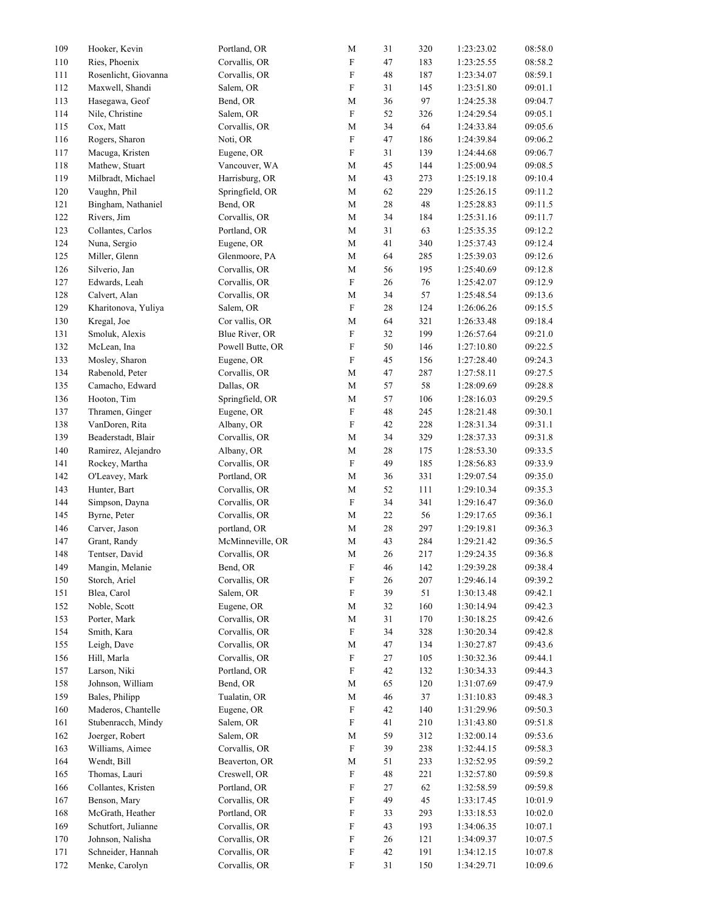| 109 | Hooker, Kevin                     | Portland, OR     | M                         | 31     | 320 | 1:23:23.02 | 08:58.0 |
|-----|-----------------------------------|------------------|---------------------------|--------|-----|------------|---------|
| 110 | Ries, Phoenix                     | Corvallis, OR    | $\mathbf F$               | 47     | 183 | 1:23:25.55 | 08:58.2 |
| 111 | Rosenlicht, Giovanna              | Corvallis, OR    | $\boldsymbol{\mathrm{F}}$ | 48     | 187 | 1:23:34.07 | 08:59.1 |
| 112 | Maxwell, Shandi                   | Salem, OR        | $\mathbf F$               | 31     | 145 | 1:23:51.80 | 09:01.1 |
| 113 | Hasegawa, Geof                    | Bend, OR         | $\mathbf M$               | 36     | 97  | 1:24:25.38 | 09:04.7 |
| 114 | Nile, Christine                   | Salem, OR        | $\mathbf F$               | 52     | 326 | 1:24:29.54 | 09:05.1 |
| 115 | Cox, Matt                         | Corvallis, OR    | $\mathbf M$               | 34     | 64  | 1:24:33.84 | 09:05.6 |
| 116 | Rogers, Sharon                    | Noti, OR         | $\rm F$                   | 47     | 186 | 1:24:39.84 | 09:06.2 |
| 117 | Macuga, Kristen                   | Eugene, OR       | $\mathbf F$               | 31     | 139 | 1:24:44.68 | 09:06.7 |
| 118 | Mathew, Stuart                    | Vancouver, WA    | $\mathbf M$               | 45     | 144 | 1:25:00.94 | 09:08.5 |
| 119 | Milbradt, Michael                 | Harrisburg, OR   | $\mathbf M$               | 43     | 273 | 1:25:19.18 | 09:10.4 |
| 120 | Vaughn, Phil                      | Springfield, OR  | $\mathbf M$               | 62     | 229 | 1:25:26.15 | 09:11.2 |
| 121 | Bingham, Nathaniel                | Bend, OR         | $\mathbf M$               | $28\,$ | 48  | 1:25:28.83 | 09:11.5 |
| 122 | Rivers, Jim                       | Corvallis, OR    | $\mathbf M$               | 34     | 184 | 1:25:31.16 | 09:11.7 |
| 123 | Collantes, Carlos                 | Portland, OR     | $\mathbf M$               | 31     | 63  | 1:25:35.35 | 09:12.2 |
| 124 | Nuna, Sergio                      | Eugene, OR       | $\mathbf M$               | 41     | 340 | 1:25:37.43 | 09:12.4 |
| 125 | Miller, Glenn                     | Glenmoore, PA    | $\mathbf M$               | 64     | 285 | 1:25:39.03 | 09:12.6 |
| 126 | Silverio, Jan                     | Corvallis, OR    | $\mathbf M$               | 56     | 195 | 1:25:40.69 | 09:12.8 |
| 127 | Edwards, Leah                     | Corvallis, OR    | $\mathbf F$               | 26     | 76  | 1:25:42.07 | 09:12.9 |
| 128 | Calvert, Alan                     | Corvallis, OR    | ${\bf M}$                 | 34     | 57  | 1:25:48.54 | 09:13.6 |
| 129 | Kharitonova, Yuliya               | Salem, OR        | $\boldsymbol{\mathrm{F}}$ | 28     | 124 | 1:26:06.26 | 09:15.5 |
| 130 | Kregal, Joe                       | Cor vallis, OR   | $\mathbf M$               | 64     | 321 | 1:26:33.48 | 09:18.4 |
| 131 | Smoluk, Alexis                    | Blue River, OR   | $\rm F$                   | 32     | 199 | 1:26:57.64 | 09:21.0 |
| 132 |                                   | Powell Butte, OR | $\boldsymbol{\mathrm{F}}$ | 50     |     |            | 09:22.5 |
|     | McLean, Ina                       |                  | $\rm F$                   |        | 146 | 1:27:10.80 |         |
| 133 | Mosley, Sharon<br>Rabenold, Peter | Eugene, OR       |                           | 45     | 156 | 1:27:28.40 | 09:24.3 |
| 134 |                                   | Corvallis, OR    | ${\bf M}$                 | 47     | 287 | 1:27:58.11 | 09:27.5 |
| 135 | Camacho, Edward                   | Dallas, OR       | $\mathbf M$               | 57     | 58  | 1:28:09.69 | 09:28.8 |
| 136 | Hooton, Tim                       | Springfield, OR  | $\mathbf M$               | 57     | 106 | 1:28:16.03 | 09:29.5 |
| 137 | Thramen, Ginger                   | Eugene, OR       | $\mathbf F$               | 48     | 245 | 1:28:21.48 | 09:30.1 |
| 138 | VanDoren, Rita                    | Albany, OR       | $\mathbf F$               | 42     | 228 | 1:28:31.34 | 09:31.1 |
| 139 | Beaderstadt, Blair                | Corvallis, OR    | $\mathbf M$               | 34     | 329 | 1:28:37.33 | 09:31.8 |
| 140 | Ramirez, Alejandro                | Albany, OR       | $\mathbf M$               | 28     | 175 | 1:28:53.30 | 09:33.5 |
| 141 | Rockey, Martha                    | Corvallis, OR    | $\rm F$                   | 49     | 185 | 1:28:56.83 | 09:33.9 |
| 142 | O'Leavey, Mark                    | Portland, OR     | ${\bf M}$                 | 36     | 331 | 1:29:07.54 | 09:35.0 |
| 143 | Hunter, Bart                      | Corvallis, OR    | $\mathbf M$               | 52     | 111 | 1:29:10.34 | 09:35.3 |
| 144 | Simpson, Dayna                    | Corvallis, OR    | $\mathbf F$               | 34     | 341 | 1:29:16.47 | 09:36.0 |
| 145 | Byrne, Peter                      | Corvallis, OR    | $\mathbf M$               | 22     | 56  | 1:29:17.65 | 09:36.1 |
| 146 | Carver, Jason                     | portland, OR     | $\mathbf M$               | 28     | 297 | 1:29:19.81 | 09:36.3 |
| 147 | Grant, Randy                      | McMinneville, OR | $\mathbf M$               | 43     | 284 | 1:29:21.42 | 09:36.5 |
| 148 | Tentser, David                    | Corvallis, OR    | $\mathbf M$               | 26     | 217 | 1:29:24.35 | 09:36.8 |
| 149 | Mangin, Melanie                   | Bend, OR         | $\boldsymbol{\mathrm{F}}$ | 46     | 142 | 1:29:39.28 | 09:38.4 |
| 150 | Storch, Ariel                     | Corvallis, OR    | $\mathbf F$               | 26     | 207 | 1:29:46.14 | 09:39.2 |
| 151 | Blea, Carol                       | Salem, OR        | F                         | 39     | 51  | 1:30:13.48 | 09:42.1 |
| 152 | Noble, Scott                      | Eugene, OR       | $\mathbf M$               | 32     | 160 | 1:30:14.94 | 09:42.3 |
| 153 | Porter, Mark                      | Corvallis, OR    | $\mathbf M$               | 31     | 170 | 1:30:18.25 | 09:42.6 |
| 154 | Smith, Kara                       | Corvallis, OR    | $\boldsymbol{\mathrm{F}}$ | 34     | 328 | 1:30:20.34 | 09:42.8 |
| 155 | Leigh, Dave                       | Corvallis, OR    | $\mathbf M$               | 47     | 134 | 1:30:27.87 | 09:43.6 |
| 156 | Hill, Marla                       | Corvallis, OR    | $\mathbf F$               | 27     | 105 | 1:30:32.36 | 09:44.1 |
| 157 | Larson, Niki                      | Portland, OR     | $\boldsymbol{\mathrm{F}}$ | 42     | 132 | 1:30:34.33 | 09:44.3 |
| 158 | Johnson, William                  | Bend, OR         | M                         | 65     | 120 | 1:31:07.69 | 09:47.9 |
| 159 | Bales, Philipp                    | Tualatin, OR     | $\mathbf M$               | 46     | 37  | 1:31:10.83 | 09:48.3 |
| 160 | Maderos, Chantelle                | Eugene, OR       | $\boldsymbol{\mathrm{F}}$ | 42     | 140 | 1:31:29.96 | 09:50.3 |
| 161 | Stubenracch, Mindy                | Salem, OR        | $\mathbf F$               | 41     | 210 | 1:31:43.80 | 09:51.8 |
| 162 | Joerger, Robert                   | Salem, OR        | $\mathbf M$               | 59     | 312 | 1:32:00.14 | 09:53.6 |
| 163 | Williams, Aimee                   | Corvallis, OR    | $\mathbf F$               | 39     | 238 | 1:32:44.15 | 09:58.3 |
| 164 | Wendt, Bill                       | Beaverton, OR    | $\mathbf M$               | 51     | 233 | 1:32:52.95 | 09:59.2 |
| 165 | Thomas, Lauri                     | Creswell, OR     | $\boldsymbol{\mathrm{F}}$ | 48     | 221 | 1:32:57.80 | 09:59.8 |
| 166 | Collantes, Kristen                | Portland, OR     | F                         | 27     | 62  | 1:32:58.59 | 09:59.8 |
| 167 | Benson, Mary                      | Corvallis, OR    | $\boldsymbol{\mathrm{F}}$ | 49     | 45  | 1:33:17.45 | 10:01.9 |
| 168 | McGrath, Heather                  | Portland, OR     | $\boldsymbol{\mathrm{F}}$ | 33     | 293 | 1:33:18.53 | 10:02.0 |
| 169 | Schutfort, Julianne               | Corvallis, OR    | $\mathbf F$               | 43     | 193 | 1:34:06.35 | 10:07.1 |
| 170 | Johnson, Nalisha                  | Corvallis, OR    | $\mathbf F$               | 26     | 121 | 1:34:09.37 | 10:07.5 |
| 171 | Schneider, Hannah                 | Corvallis, OR    | $\mathbf F$               | 42     | 191 | 1:34:12.15 | 10:07.8 |
| 172 | Menke, Carolyn                    | Corvallis, OR    | $\mathbf F$               | 31     | 150 | 1:34:29.71 | 10:09.6 |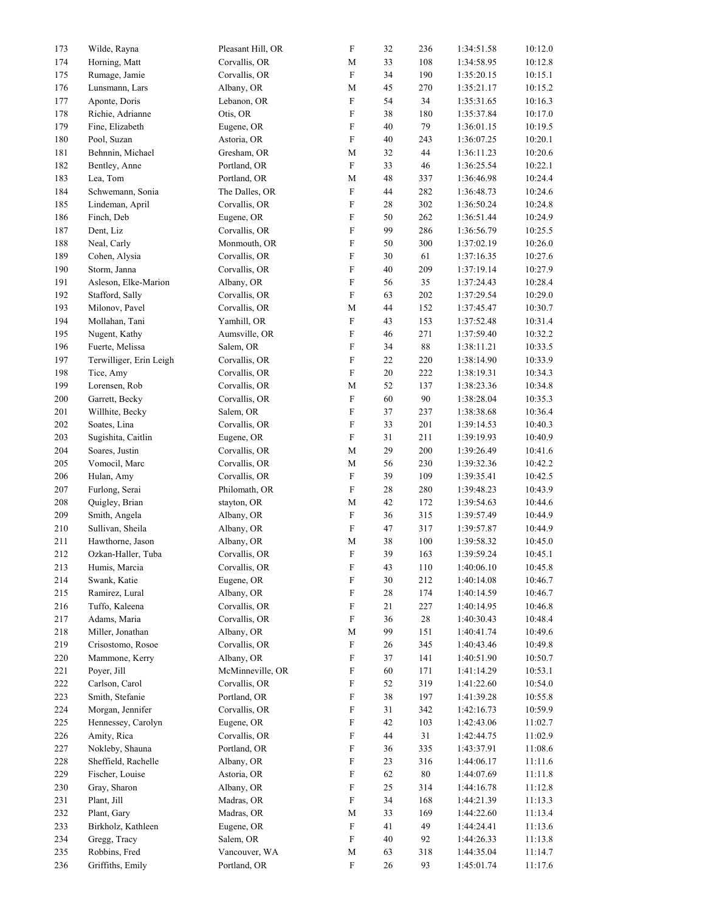| 173 | Wilde, Rayna            | Pleasant Hill, OR | $\boldsymbol{\mathrm{F}}$ | 32     | 236     | 1:34:51.58 | 10:12.0 |
|-----|-------------------------|-------------------|---------------------------|--------|---------|------------|---------|
| 174 | Horning, Matt           | Corvallis, OR     | $\mathbf M$               | 33     | 108     | 1:34:58.95 | 10:12.8 |
| 175 | Rumage, Jamie           | Corvallis, OR     | $\boldsymbol{\mathrm{F}}$ | 34     | 190     | 1:35:20.15 | 10:15.1 |
| 176 | Lunsmann, Lars          | Albany, OR        | $\mathbf M$               | 45     | 270     | 1:35:21.17 | 10:15.2 |
| 177 | Aponte, Doris           | Lebanon, OR       | F                         | 54     | 34      | 1:35:31.65 | 10:16.3 |
| 178 | Richie, Adrianne        | Otis, OR          | $\boldsymbol{\mathrm{F}}$ | 38     | 180     | 1:35:37.84 | 10:17.0 |
| 179 | Fine, Elizabeth         | Eugene, OR        | $\boldsymbol{\mathrm{F}}$ | 40     | 79      | 1:36:01.15 | 10:19.5 |
| 180 | Pool, Suzan             | Astoria, OR       | $\mathbf F$               | 40     | 243     | 1:36:07.25 | 10:20.1 |
| 181 | Behnnin, Michael        | Gresham, OR       | $\mathbf M$               | 32     | 44      | 1:36:11.23 | 10:20.6 |
| 182 | Bentley, Anne           | Portland, OR      | $\mathbf F$               | 33     | 46      | 1:36:25.54 | 10:22.1 |
| 183 | Lea, Tom                | Portland, OR      | $\mathbf M$               | 48     | 337     | 1:36:46.98 | 10:24.4 |
| 184 | Schwemann, Sonia        | The Dalles, OR    | $\mathbf F$               | 44     | 282     | 1:36:48.73 | 10:24.6 |
| 185 | Lindeman, April         | Corvallis, OR     | F                         | 28     | 302     | 1:36:50.24 | 10:24.8 |
| 186 | Finch, Deb              | Eugene, OR        | $\boldsymbol{\mathrm{F}}$ | 50     | 262     | 1:36:51.44 | 10:24.9 |
| 187 | Dent, Liz               | Corvallis, OR     | ${\bf F}$                 | 99     | 286     | 1:36:56.79 | 10:25.5 |
| 188 | Neal, Carly             | Monmouth, OR      | $\boldsymbol{\mathrm{F}}$ | 50     | 300     | 1:37:02.19 | 10:26.0 |
| 189 | Cohen, Alysia           | Corvallis, OR     | F                         | 30     | 61      | 1:37:16.35 | 10:27.6 |
| 190 | Storm, Janna            | Corvallis, OR     | F                         | 40     | 209     | 1:37:19.14 | 10:27.9 |
| 191 | Asleson, Elke-Marion    | Albany, OR        | F                         | 56     | 35      | 1:37:24.43 | 10:28.4 |
| 192 | Stafford, Sally         | Corvallis, OR     | $\boldsymbol{\mathrm{F}}$ | 63     | 202     | 1:37:29.54 | 10:29.0 |
| 193 | Milonov, Pavel          | Corvallis, OR     | $\mathbf M$               | 44     | 152     | 1:37:45.47 | 10:30.7 |
| 194 | Mollahan, Tani          | Yamhill, OR       | $\boldsymbol{\mathrm{F}}$ | 43     | 153     | 1:37:52.48 | 10:31.4 |
| 195 | Nugent, Kathy           | Aumsville, OR     | F                         | 46     | 271     | 1:37:59.40 | 10:32.2 |
| 196 | Fuerte, Melissa         | Salem, OR         | $\boldsymbol{\mathrm{F}}$ | 34     | $88\,$  | 1:38:11.21 | 10:33.5 |
| 197 | Terwilliger, Erin Leigh | Corvallis, OR     | $\boldsymbol{\mathrm{F}}$ | 22     | 220     | 1:38:14.90 | 10:33.9 |
| 198 | Tice, Amy               | Corvallis, OR     | $\boldsymbol{\mathrm{F}}$ | 20     | 222     | 1:38:19.31 | 10:34.3 |
| 199 | Lorensen, Rob           | Corvallis, OR     | $\mathbf M$               | 52     | 137     | 1:38:23.36 | 10:34.8 |
| 200 | Garrett, Becky          | Corvallis, OR     | F                         | 60     | 90      | 1:38:28.04 | 10:35.3 |
| 201 | Willhite, Becky         | Salem, OR         | F                         | 37     | 237     | 1:38:38.68 | 10:36.4 |
| 202 | Soates, Lina            | Corvallis, OR     | $\boldsymbol{\mathrm{F}}$ | 33     | 201     | 1:39:14.53 | 10:40.3 |
| 203 | Sugishita, Caitlin      | Eugene, OR        | $\mathbf F$               | $31\,$ | 211     | 1:39:19.93 | 10:40.9 |
| 204 | Soares, Justin          | Corvallis, OR     | $\mathbf M$               | 29     | 200     | 1:39:26.49 | 10:41.6 |
| 205 | Vomocil, Marc           | Corvallis, OR     | $\mathbf M$               | 56     | 230     | 1:39:32.36 | 10:42.2 |
| 206 | Hulan, Amy              | Corvallis, OR     | $\mathbf F$               | 39     | 109     | 1:39:35.41 | 10:42.5 |
| 207 | Furlong, Serai          | Philomath, OR     | $\boldsymbol{\mathrm{F}}$ | 28     | 280     | 1:39:48.23 | 10:43.9 |
| 208 | Quigley, Brian          | stayton, OR       | $\mathbf M$               | 42     | 172     | 1:39:54.63 | 10:44.6 |
| 209 | Smith, Angela           | Albany, OR        | F                         | 36     | 315     | 1:39:57.49 | 10:44.9 |
| 210 | Sullivan, Sheila        | Albany, OR        | $\mathbf F$               | 47     | 317     | 1:39:57.87 | 10:44.9 |
| 211 | Hawthorne, Jason        | Albany, OR        | $\mathbf M$               | 38     | $100\,$ | 1:39:58.32 | 10:45.0 |
| 212 | Ozkan-Haller, Tuba      | Corvallis, OR     | $\boldsymbol{\mathrm{F}}$ | 39     | 163     | 1:39:59.24 | 10:45.1 |
| 213 | Humis, Marcia           | Corvallis, OR     | $\mathbf F$               | 43     | $110\,$ | 1:40:06.10 | 10:45.8 |
| 214 | Swank, Katie            | Eugene, OR        | F                         | 30     | 212     | 1:40:14.08 | 10:46.7 |
| 215 | Ramirez, Lural          | Albany, OR        | F                         | $28\,$ | 174     | 1:40:14.59 | 10:46.7 |
| 216 | Tuffo, Kaleena          | Corvallis, OR     | F                         | 21     | 227     | 1:40:14.95 | 10:46.8 |
| 217 | Adams, Maria            | Corvallis, OR     | $\boldsymbol{\mathrm{F}}$ | 36     | $28\,$  | 1:40:30.43 | 10:48.4 |
| 218 | Miller, Jonathan        | Albany, OR        | $\mathbf M$               | 99     | 151     | 1:40:41.74 | 10:49.6 |
| 219 | Crisostomo, Rosoe       | Corvallis, OR     | $\mathbf F$               | 26     | 345     | 1:40:43.46 | 10:49.8 |
| 220 | Mammone, Kerry          | Albany, OR        | $\boldsymbol{\mathrm{F}}$ | 37     | 141     | 1:40:51.90 | 10:50.7 |
| 221 | Poyer, Jill             | McMinneville, OR  | F                         | 60     | 171     | 1:41:14.29 | 10:53.1 |
| 222 | Carlson, Carol          | Corvallis, OR     | F                         | 52     | 319     | 1:41:22.60 | 10:54.0 |
| 223 | Smith, Stefanie         | Portland, OR      | F                         | 38     | 197     | 1:41:39.28 | 10:55.8 |
| 224 | Morgan, Jennifer        | Corvallis, OR     | F                         | 31     | 342     | 1:42:16.73 | 10:59.9 |
| 225 | Hennessey, Carolyn      | Eugene, OR        | F                         | 42     | 103     | 1:42:43.06 | 11:02.7 |
| 226 | Amity, Rica             | Corvallis, OR     | $\boldsymbol{\mathrm{F}}$ | 44     | 31      | 1:42:44.75 | 11:02.9 |
| 227 | Nokleby, Shauna         | Portland, OR      | $\boldsymbol{\mathrm{F}}$ | 36     | 335     | 1:43:37.91 | 11:08.6 |
| 228 | Sheffield, Rachelle     | Albany, OR        | $\mathbf F$               | 23     | 316     | 1:44:06.17 | 11:11.6 |
| 229 | Fischer, Louise         | Astoria, OR       | $\boldsymbol{\mathrm{F}}$ | 62     | 80      | 1:44:07.69 | 11:11.8 |
| 230 | Gray, Sharon            | Albany, OR        | F                         | 25     | 314     | 1:44:16.78 | 11:12.8 |
| 231 | Plant, Jill             | Madras, OR        | F                         | 34     | 168     | 1:44:21.39 | 11:13.3 |
| 232 | Plant, Gary             | Madras, OR        | M                         | 33     | 169     | 1:44:22.60 | 11:13.4 |
| 233 | Birkholz, Kathleen      | Eugene, OR        | F                         | 41     | 49      | 1:44:24.41 | 11:13.6 |
| 234 | Gregg, Tracy            | Salem, OR         | $\mathbf F$               | 40     | 92      | 1:44:26.33 | 11:13.8 |
| 235 | Robbins, Fred           | Vancouver, WA     | $\mathbf M$               | 63     | 318     | 1:44:35.04 | 11:14.7 |
| 236 | Griffiths, Emily        | Portland, OR      | $\boldsymbol{\mathrm{F}}$ | 26     | 93      | 1:45:01.74 | 11:17.6 |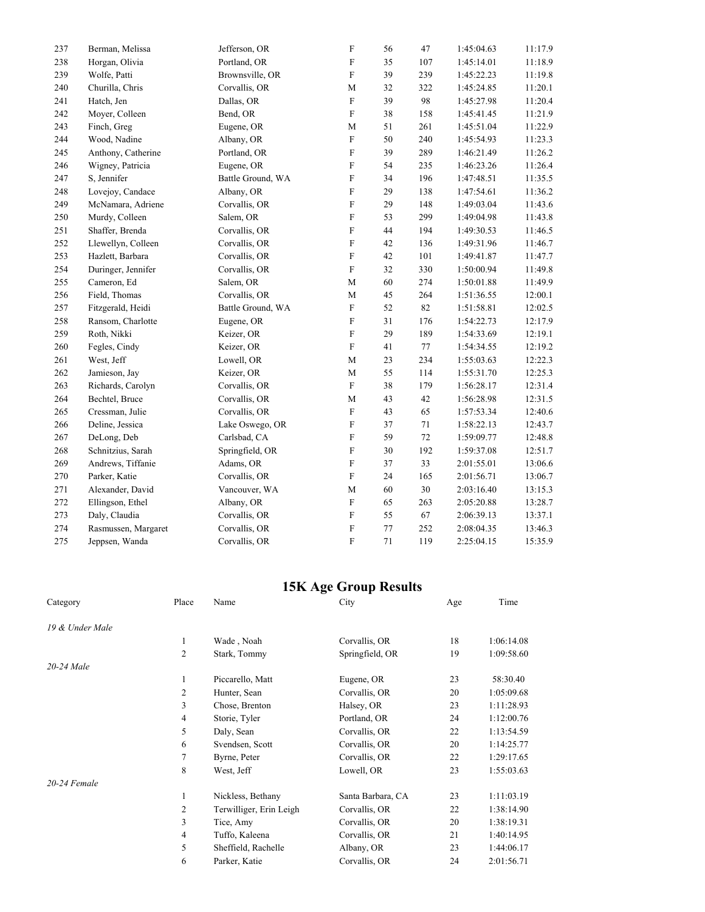| 237 | Berman, Melissa     | Jefferson, OR     | ${\bf F}$                 | 56     | 47     | 1:45:04.63 | 11:17.9 |
|-----|---------------------|-------------------|---------------------------|--------|--------|------------|---------|
| 238 | Horgan, Olivia      | Portland, OR      | ${\bf F}$                 | 35     | 107    | 1:45:14.01 | 11:18.9 |
| 239 | Wolfe, Patti        | Brownsville, OR   | F                         | 39     | 239    | 1:45:22.23 | 11:19.8 |
| 240 | Churilla, Chris     | Corvallis, OR     | M                         | 32     | 322    | 1:45:24.85 | 11:20.1 |
| 241 | Hatch, Jen          | Dallas, OR        | $\mathbf F$               | 39     | 98     | 1:45:27.98 | 11:20.4 |
| 242 | Moyer, Colleen      | Bend, OR          | $\boldsymbol{\mathrm{F}}$ | 38     | 158    | 1:45:41.45 | 11:21.9 |
| 243 | Finch, Greg         | Eugene, OR        | $\mathbf M$               | 51     | 261    | 1:45:51.04 | 11:22.9 |
| 244 | Wood, Nadine        | Albany, OR        | F                         | 50     | 240    | 1:45:54.93 | 11:23.3 |
| 245 | Anthony, Catherine  | Portland, OR      | $\boldsymbol{\mathrm{F}}$ | 39     | 289    | 1:46:21.49 | 11:26.2 |
| 246 | Wigney, Patricia    | Eugene, OR        | ${\rm F}$                 | 54     | 235    | 1:46:23.26 | 11:26.4 |
| 247 | S, Jennifer         | Battle Ground, WA | F                         | 34     | 196    | 1:47:48.51 | 11:35.5 |
| 248 | Lovejoy, Candace    | Albany, OR        | ${\rm F}$                 | 29     | 138    | 1:47:54.61 | 11:36.2 |
| 249 | McNamara, Adriene   | Corvallis, OR     | $\boldsymbol{\mathrm{F}}$ | 29     | 148    | 1:49:03.04 | 11:43.6 |
| 250 | Murdy, Colleen      | Salem, OR         | ${\bf F}$                 | 53     | 299    | 1:49:04.98 | 11:43.8 |
| 251 | Shaffer, Brenda     | Corvallis, OR     | ${\rm F}$                 | 44     | 194    | 1:49:30.53 | 11:46.5 |
| 252 | Llewellyn, Colleen  | Corvallis, OR     | ${\bf F}$                 | 42     | 136    | 1:49:31.96 | 11:46.7 |
| 253 | Hazlett, Barbara    | Corvallis, OR     | $\boldsymbol{\mathrm{F}}$ | 42     | 101    | 1:49:41.87 | 11:47.7 |
| 254 | Duringer, Jennifer  | Corvallis, OR     | $\boldsymbol{\mathrm{F}}$ | 32     | 330    | 1:50:00.94 | 11:49.8 |
| 255 | Cameron, Ed         | Salem, OR         | M                         | 60     | 274    | 1:50:01.88 | 11:49.9 |
| 256 | Field, Thomas       | Corvallis, OR     | $\mathbf M$               | 45     | 264    | 1:51:36.55 | 12:00.1 |
| 257 | Fitzgerald, Heidi   | Battle Ground, WA | $\boldsymbol{\mathrm{F}}$ | 52     | 82     | 1:51:58.81 | 12:02.5 |
| 258 | Ransom, Charlotte   | Eugene, OR        | ${\bf F}$                 | 31     | 176    | 1:54:22.73 | 12:17.9 |
| 259 | Roth, Nikki         | Keizer, OR        | ${\bf F}$                 | 29     | 189    | 1:54:33.69 | 12:19.1 |
| 260 | Fegles, Cindy       | Keizer, OR        | $\boldsymbol{\mathrm{F}}$ | 41     | $77\,$ | 1:54:34.55 | 12:19.2 |
| 261 | West, Jeff          | Lowell, OR        | $\mathbf M$               | 23     | 234    | 1:55:03.63 | 12:22.3 |
| 262 | Jamieson, Jay       | Keizer, OR        | $\mathbf M$               | 55     | 114    | 1:55:31.70 | 12:25.3 |
| 263 | Richards, Carolyn   | Corvallis, OR     | $\boldsymbol{\mathrm{F}}$ | 38     | 179    | 1:56:28.17 | 12:31.4 |
| 264 | Bechtel, Bruce      | Corvallis, OR     | $\mathbf M$               | 43     | 42     | 1:56:28.98 | 12:31.5 |
| 265 | Cressman, Julie     | Corvallis, OR     | ${\bf F}$                 | 43     | 65     | 1:57:53.34 | 12:40.6 |
| 266 | Deline, Jessica     | Lake Oswego, OR   | ${\bf F}$                 | 37     | 71     | 1:58:22.13 | 12:43.7 |
| 267 | DeLong, Deb         | Carlsbad, CA      | $\boldsymbol{\mathrm{F}}$ | 59     | 72     | 1:59:09.77 | 12:48.8 |
| 268 | Schnitzius, Sarah   | Springfield, OR   | $\boldsymbol{\mathrm{F}}$ | $30\,$ | 192    | 1:59:37.08 | 12:51.7 |
| 269 | Andrews, Tiffanie   | Adams, OR         | F                         | 37     | 33     | 2:01:55.01 | 13:06.6 |
| 270 | Parker, Katie       | Corvallis, OR     | ${\rm F}$                 | 24     | 165    | 2:01:56.71 | 13:06.7 |
| 271 | Alexander, David    | Vancouver, WA     | $\mathbf M$               | 60     | $30\,$ | 2:03:16.40 | 13:15.3 |
| 272 | Ellingson, Ethel    | Albany, OR        | F                         | 65     | 263    | 2:05:20.88 | 13:28.7 |
| 273 | Daly, Claudia       | Corvallis, OR     | $\boldsymbol{\mathrm{F}}$ | 55     | 67     | 2:06:39.13 | 13:37.1 |
| 274 | Rasmussen, Margaret | Corvallis, OR     | ${\bf F}$                 | 77     | 252    | 2:08:04.35 | 13:46.3 |
| 275 | Jeppsen, Wanda      | Corvallis, OR     | ${\bf F}$                 | 71     | 119    | 2:25:04.15 | 15:35.9 |

## **15K Age Group Results**

| Category        | Place          | Name                    | City              | Age | Time       |
|-----------------|----------------|-------------------------|-------------------|-----|------------|
| 19 & Under Male |                |                         |                   |     |            |
|                 | 1              | Wade, Noah              | Corvallis, OR     | 18  | 1:06:14.08 |
|                 | $\overline{2}$ | Stark, Tommy            | Springfield, OR   | 19  | 1:09:58.60 |
| 20-24 Male      |                |                         |                   |     |            |
|                 | 1              | Piccarello, Matt        | Eugene, OR        | 23  | 58:30.40   |
|                 | 2              | Hunter, Sean            | Corvallis, OR     | 20  | 1:05:09.68 |
|                 | 3              | Chose, Brenton          | Halsey, OR        | 23  | 1:11:28.93 |
|                 | 4              | Storie, Tyler           | Portland, OR      | 24  | 1:12:00.76 |
|                 | 5              | Daly, Sean              | Corvallis, OR     | 22  | 1:13:54.59 |
|                 | 6              | Svendsen, Scott         | Corvallis, OR     | 20  | 1:14:25.77 |
|                 | 7              | Byrne, Peter            | Corvallis, OR     | 22  | 1:29:17.65 |
|                 | 8              | West, Jeff              | Lowell, OR        | 23  | 1:55:03.63 |
| $20-24$ Female  |                |                         |                   |     |            |
|                 | 1              | Nickless, Bethany       | Santa Barbara, CA | 23  | 1:11:03.19 |
|                 | $\overline{2}$ | Terwilliger, Erin Leigh | Corvallis, OR     | 22  | 1:38:14.90 |
|                 | 3              | Tice, Amy               | Corvallis, OR     | 20  | 1:38:19.31 |
|                 | 4              | Tuffo, Kaleena          | Corvallis, OR     | 21  | 1:40:14.95 |
|                 | 5              | Sheffield, Rachelle     | Albany, OR        | 23  | 1:44:06.17 |
|                 | 6              | Parker, Katie           | Corvallis, OR     | 24  | 2:01:56.71 |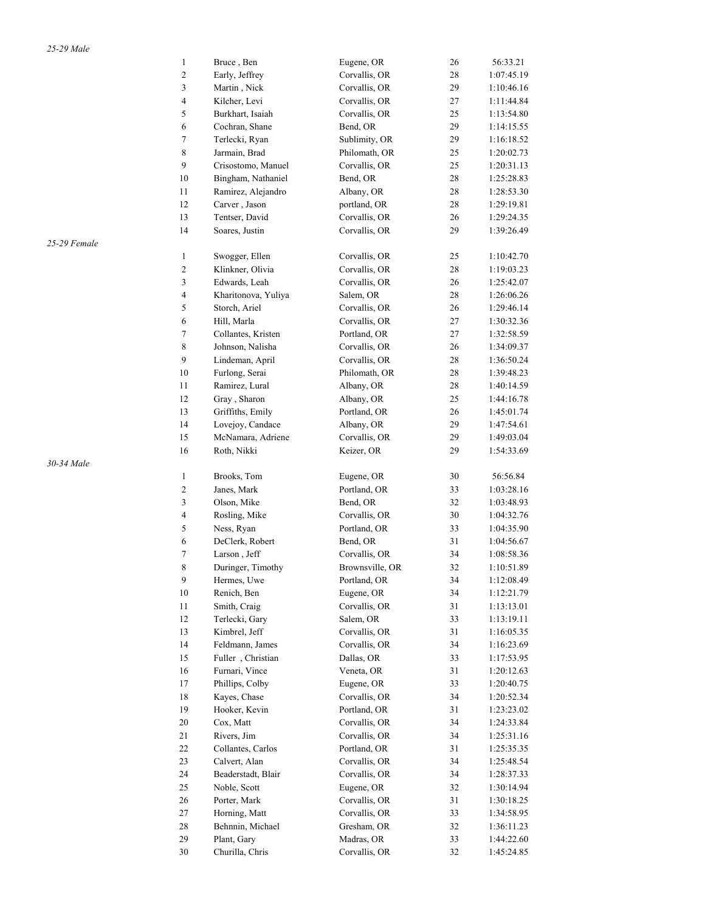|              | $\mathbf{1}$     | Bruce, Ben          | Eugene, OR      | 26 | 56:33.21                 |
|--------------|------------------|---------------------|-----------------|----|--------------------------|
|              | $\sqrt{2}$       | Early, Jeffrey      | Corvallis, OR   | 28 | 1:07:45.19               |
|              | 3                | Martin, Nick        | Corvallis, OR   | 29 | 1:10:46.16               |
|              | $\overline{4}$   | Kilcher, Levi       | Corvallis, OR   | 27 | 1:11:44.84               |
|              | 5                | Burkhart, Isaiah    | Corvallis, OR   | 25 | 1:13:54.80               |
|              | $\sqrt{6}$       | Cochran, Shane      | Bend, OR        | 29 | 1:14:15.55               |
|              | $\tau$           | Terlecki, Ryan      | Sublimity, OR   | 29 | 1:16:18.52               |
|              | $\,$ 8 $\,$      | Jarmain, Brad       | Philomath, OR   | 25 | 1:20:02.73               |
|              | $\mathbf{9}$     | Crisostomo, Manuel  | Corvallis, OR   | 25 | 1:20:31.13               |
|              | 10               | Bingham, Nathaniel  | Bend, OR        | 28 | 1:25:28.83               |
|              | 11               | Ramirez, Alejandro  | Albany, OR      | 28 | 1:28:53.30               |
|              | 12               | Carver, Jason       | portland, OR    | 28 | 1:29:19.81               |
|              | 13               | Tentser, David      | Corvallis, OR   | 26 | 1:29:24.35               |
|              | 14               | Soares, Justin      | Corvallis, OR   | 29 | 1:39:26.49               |
| 25-29 Female |                  |                     |                 |    |                          |
|              | $\mathbf{1}$     | Swogger, Ellen      | Corvallis, OR   | 25 | 1:10:42.70               |
|              | $\sqrt{2}$       | Klinkner, Olivia    | Corvallis, OR   | 28 | 1:19:03.23               |
|              | 3                | Edwards, Leah       | Corvallis, OR   | 26 | 1:25:42.07               |
|              | $\sqrt{4}$       | Kharitonova, Yuliya | Salem, OR       | 28 | 1:26:06.26               |
|              | $\sqrt{5}$       | Storch, Ariel       | Corvallis, OR   | 26 | 1:29:46.14               |
|              | $\sqrt{6}$       | Hill, Marla         | Corvallis, OR   | 27 | 1:30:32.36               |
|              | $\boldsymbol{7}$ | Collantes, Kristen  | Portland, OR    | 27 | 1:32:58.59               |
|              | $\,$ 8 $\,$      | Johnson, Nalisha    | Corvallis, OR   | 26 | 1:34:09.37               |
|              | $\overline{9}$   | Lindeman, April     | Corvallis, OR   | 28 | 1:36:50.24               |
|              | $10\,$           | Furlong, Serai      | Philomath, OR   | 28 | 1:39:48.23               |
|              | 11               | Ramirez, Lural      | Albany, OR      | 28 | 1:40:14.59               |
|              | 12               | Gray, Sharon        | Albany, OR      | 25 | 1:44:16.78               |
|              | 13               | Griffiths, Emily    | Portland, OR    | 26 | 1:45:01.74               |
|              | 14               | Lovejoy, Candace    | Albany, OR      | 29 | 1:47:54.61               |
|              | 15               | McNamara, Adriene   | Corvallis, OR   | 29 | 1:49:03.04               |
|              | 16               | Roth, Nikki         | Keizer, OR      | 29 | 1:54:33.69               |
| 30-34 Male   |                  |                     |                 |    |                          |
|              | $\mathbf{1}$     | Brooks, Tom         | Eugene, OR      | 30 | 56:56.84                 |
|              | $\sqrt{2}$       | Janes, Mark         | Portland, OR    | 33 | 1:03:28.16               |
|              | 3                | Olson, Mike         | Bend, OR        | 32 | 1:03:48.93               |
|              | $\sqrt{4}$       | Rosling, Mike       | Corvallis, OR   | 30 | 1:04:32.76               |
|              | 5                | Ness, Ryan          | Portland, OR    | 33 | 1:04:35.90               |
|              | 6                | DeClerk, Robert     | Bend, OR        | 31 | 1:04:56.67               |
|              | $\tau$           | Larson, Jeff        | Corvallis, OR   | 34 | 1:08:58.36               |
|              | 8                | Duringer, Timothy   | Brownsville, OR | 32 | 1:10:51.89               |
|              | $\boldsymbol{9}$ | Hermes, Uwe         | Portland, OR    | 34 | 1:12:08.49               |
|              | $10\,$           | Renich, Ben         | Eugene, OR      | 34 | 1:12:21.79               |
|              | 11               | Smith, Craig        | Corvallis, OR   | 31 | 1:13:13.01               |
|              | 12               | Terlecki, Gary      | Salem, OR       | 33 | 1:13:19.11               |
|              | 13               | Kimbrel, Jeff       | Corvallis, OR   | 31 | 1:16:05.35               |
|              | 14               | Feldmann, James     | Corvallis, OR   | 34 | 1:16:23.69               |
|              | 15               | Fuller, Christian   | Dallas, OR      | 33 |                          |
|              | 16               | Furnari, Vince      | Veneta, OR      | 31 | 1:17:53.95<br>1:20:12.63 |
|              | 17               | Phillips, Colby     | Eugene, OR      | 33 | 1:20:40.75               |
|              |                  | Kayes, Chase        |                 | 34 |                          |
|              | 18               |                     | Corvallis, OR   |    | 1:20:52.34               |
|              | 19               | Hooker, Kevin       | Portland, OR    | 31 | 1:23:23.02               |
|              | 20               | Cox, Matt           | Corvallis, OR   | 34 | 1:24:33.84               |
|              | 21               | Rivers, Jim         | Corvallis, OR   | 34 | 1:25:31.16               |
|              | 22               | Collantes, Carlos   | Portland, OR    | 31 | 1:25:35.35               |
|              | 23               | Calvert, Alan       | Corvallis, OR   | 34 | 1:25:48.54               |
|              | 24               | Beaderstadt, Blair  | Corvallis, OR   | 34 | 1:28:37.33               |
|              | 25               | Noble, Scott        | Eugene, OR      | 32 | 1:30:14.94               |
|              | 26               | Porter, Mark        | Corvallis, OR   | 31 | 1:30:18.25               |
|              | 27               | Horning, Matt       | Corvallis, OR   | 33 | 1:34:58.95               |
|              | 28               | Behnnin, Michael    | Gresham, OR     | 32 | 1:36:11.23               |
|              | 29               | Plant, Gary         | Madras, OR      | 33 | 1:44:22.60               |
|              | 30               | Churilla, Chris     | Corvallis, OR   | 32 | 1:45:24.85               |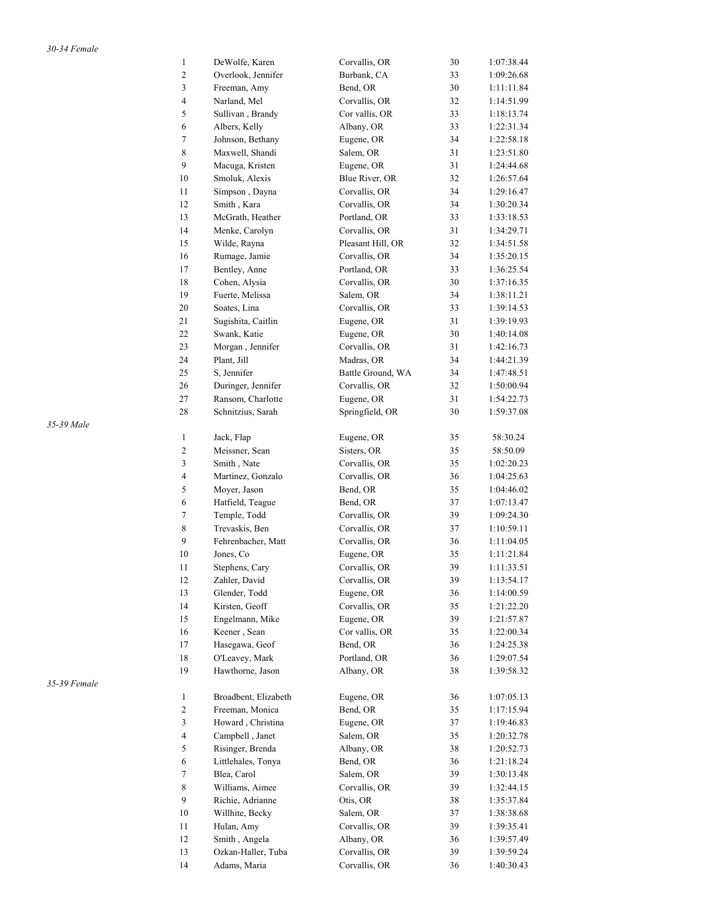|              | $\,1$                   | DeWolfe, Karen                 | Corvallis, OR                | 30       | 1:07:38.44 |
|--------------|-------------------------|--------------------------------|------------------------------|----------|------------|
|              | $\overline{\mathbf{c}}$ | Overlook, Jennifer             | Burbank, CA                  | 33       | 1:09:26.68 |
|              | 3                       | Freeman, Amy                   | Bend, OR                     | 30       | 1:11:11.84 |
|              | $\overline{4}$          | Narland, Mel                   | Corvallis, OR                | 32       | 1:14:51.99 |
|              | 5                       | Sullivan, Brandy               | Cor vallis, OR               | 33       | 1:18:13.74 |
|              | $\epsilon$              | Albers, Kelly                  | Albany, OR                   | 33       | 1:22:31.34 |
|              | $\boldsymbol{7}$        | Johnson, Bethany               | Eugene, OR                   | 34       | 1:22:58.18 |
|              | $\,8\,$                 | Maxwell, Shandi                | Salem, OR                    | 31       | 1:23:51.80 |
|              | 9                       | Macuga, Kristen                | Eugene, OR                   | 31       | 1:24:44.68 |
|              | 10                      | Smoluk, Alexis                 | Blue River, OR               | 32       | 1:26:57.64 |
|              | 11                      | Simpson, Dayna                 | Corvallis, OR                | 34       | 1:29:16.47 |
|              | 12                      | Smith, Kara                    | Corvallis, OR                | 34       | 1:30:20.34 |
|              | 13                      | McGrath, Heather               | Portland, OR                 | 33       | 1:33:18.53 |
|              | 14                      | Menke, Carolyn                 | Corvallis, OR                | 31       | 1:34:29.71 |
|              | 15                      | Wilde, Rayna                   | Pleasant Hill, OR            | 32       | 1:34:51.58 |
|              | $16\,$                  | Rumage, Jamie                  | Corvallis, OR                | 34       | 1:35:20.15 |
|              | 17                      | Bentley, Anne                  | Portland, OR                 | 33       | 1:36:25.54 |
|              | 18                      | Cohen, Alysia                  | Corvallis, OR                | 30       | 1:37:16.35 |
|              | 19                      | Fuerte, Melissa                | Salem, OR                    | 34       | 1:38:11.21 |
|              | 20                      | Soates, Lina                   | Corvallis, OR                | 33       | 1:39:14.53 |
|              | 21                      | Sugishita, Caitlin             | Eugene, OR                   | 31       | 1:39:19.93 |
|              | $22\,$                  | Swank, Katie                   | Eugene, OR                   | 30       | 1:40:14.08 |
|              | 23                      | Morgan, Jennifer               | Corvallis, OR                | 31       | 1:42:16.73 |
|              | 24                      | Plant, Jill                    | Madras, OR                   | 34       | 1:44:21.39 |
|              | 25                      | S, Jennifer                    | Battle Ground, WA            | 34       | 1:47:48.51 |
|              | 26                      | Duringer, Jennifer             | Corvallis, OR                | 32       | 1:50:00.94 |
|              | 27                      | Ransom, Charlotte              | Eugene, OR                   | 31       | 1:54:22.73 |
|              | 28                      | Schnitzius, Sarah              | Springfield, OR              | 30       | 1:59:37.08 |
| 35-39 Male   |                         |                                |                              |          |            |
|              | $\mathbf{1}$            | Jack, Flap                     | Eugene, OR                   | 35       | 58:30.24   |
|              | $\sqrt{2}$              | Meissner, Sean                 | Sisters, OR                  | 35       | 58:50.09   |
|              | 3                       | Smith, Nate                    | Corvallis, OR                | 35       | 1:02:20.23 |
|              | 4                       | Martinez, Gonzalo              | Corvallis, OR                | 36       | 1:04:25.63 |
|              | 5                       | Moyer, Jason                   | Bend, OR                     | 35       | 1:04:46.02 |
|              | 6                       | Hatfield, Teague               | Bend, OR                     | 37       | 1:07:13.47 |
|              | $\tau$                  | Temple, Todd                   | Corvallis, OR                | 39       | 1:09:24.30 |
|              | $\,8\,$                 | Trevaskis, Ben                 | Corvallis, OR                | 37       | 1:10:59.11 |
|              | 9                       | Fehrenbacher, Matt             | Corvallis, OR                | 36       | 1:11:04.05 |
|              | $10\,$                  | Jones, Co                      | Eugene, OR                   | 35       | 1:11:21.84 |
|              | 11                      | Stephens, Cary                 | Corvallis, OR                | 39       | 1:11:33.51 |
|              |                         |                                | Corvallis, OR                |          |            |
|              | 12<br>13                | Zahler, David<br>Glender, Todd |                              | 39<br>36 | 1:13:54.17 |
|              |                         |                                | Eugene, OR<br>Corvallis, OR  |          | 1:14:00.59 |
|              | 14                      | Kirsten, Geoff                 |                              | 35       | 1:21:22.20 |
|              | 15                      | Engelmann, Mike                | Eugene, OR<br>Cor vallis, OR | 39       | 1:21:57.87 |
|              | 16                      | Keener, Sean                   |                              | 35       | 1:22:00.34 |
|              | 17                      | Hasegawa, Geof                 | Bend, OR                     | 36       | 1:24:25.38 |
|              | $18\,$                  | O'Leavey, Mark                 | Portland, OR                 | 36       | 1:29:07.54 |
|              | 19                      | Hawthorne, Jason               | Albany, OR                   | 38       | 1:39:58.32 |
| 35-39 Female |                         |                                |                              |          |            |
|              | $\mathbf{1}$            | Broadbent, Elizabeth           | Eugene, OR                   | 36       | 1:07:05.13 |
|              | $\sqrt{2}$              | Freeman, Monica                | Bend, OR                     | 35       | 1:17:15.94 |
|              | 3                       | Howard, Christina              | Eugene, OR                   | 37       | 1:19:46.83 |
|              | $\overline{4}$          | Campbell, Janet                | Salem, OR                    | 35       | 1:20:32.78 |
|              | 5                       | Risinger, Brenda               | Albany, OR                   | 38       | 1:20:52.73 |
|              | $\epsilon$              | Littlehales, Tonya             | Bend, OR                     | 36       | 1:21:18.24 |
|              | $\tau$                  | Blea, Carol                    | Salem, OR                    | 39       | 1:30:13.48 |
|              | 8                       | Williams, Aimee                | Corvallis, OR                | 39       | 1:32:44.15 |
|              | 9                       | Richie, Adrianne               | Otis, OR                     | 38       | 1:35:37.84 |
|              | 10                      | Willhite, Becky                | Salem, OR                    | 37       | 1:38:38.68 |
|              | 11                      | Hulan, Amy                     | Corvallis, OR                | 39       | 1:39:35.41 |
|              | 12                      | Smith, Angela                  | Albany, OR                   | 36       | 1:39:57.49 |
|              | 13                      | Ozkan-Haller, Tuba             | Corvallis, OR                | 39       | 1:39:59.24 |
|              | 14                      | Adams, Maria                   | Corvallis, OR                | 36       | 1:40:30.43 |

*35-39 Male* 

*35-39 Female*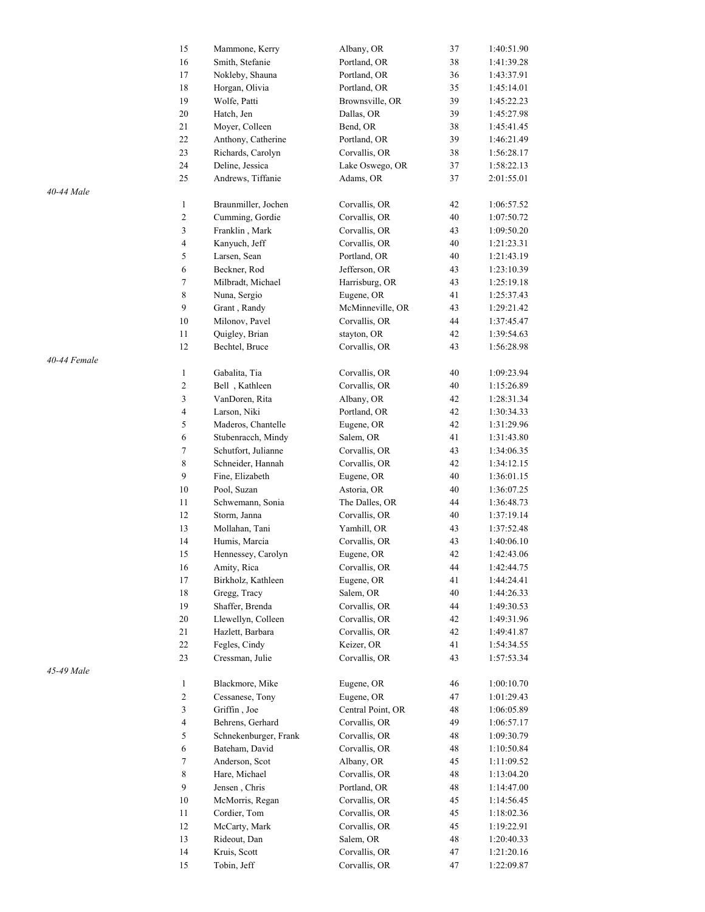|              | 15               | Mammone, Kerry        | Albany, OR        | 37 | 1:40:51.90 |
|--------------|------------------|-----------------------|-------------------|----|------------|
|              | 16               | Smith, Stefanie       | Portland, OR      | 38 | 1:41:39.28 |
|              | 17               | Nokleby, Shauna       | Portland, OR      | 36 | 1:43:37.91 |
|              | 18               | Horgan, Olivia        | Portland, OR      | 35 | 1:45:14.01 |
|              | 19               | Wolfe, Patti          | Brownsville, OR   | 39 | 1:45:22.23 |
|              | 20               | Hatch, Jen            | Dallas, OR        | 39 | 1:45:27.98 |
|              | $21\,$           | Moyer, Colleen        | Bend, OR          | 38 | 1:45:41.45 |
|              | 22               | Anthony, Catherine    | Portland, OR      | 39 | 1:46:21.49 |
|              | 23               | Richards, Carolyn     | Corvallis, OR     | 38 | 1:56:28.17 |
|              | 24               | Deline, Jessica       | Lake Oswego, OR   | 37 | 1:58:22.13 |
|              | 25               | Andrews, Tiffanie     | Adams, OR         | 37 | 2:01:55.01 |
| 40-44 Male   |                  |                       |                   |    |            |
|              | $\mathbf{1}$     | Braunmiller, Jochen   | Corvallis, OR     | 42 | 1:06:57.52 |
|              | $\overline{c}$   | Cumming, Gordie       | Corvallis, OR     | 40 | 1:07:50.72 |
|              | 3                | Franklin, Mark        | Corvallis, OR     | 43 | 1:09:50.20 |
|              | 4                | Kanyuch, Jeff         | Corvallis, OR     | 40 | 1:21:23.31 |
|              | 5                | Larsen, Sean          | Portland, OR      | 40 | 1:21:43.19 |
|              | 6                | Beckner, Rod          | Jefferson, OR     | 43 | 1:23:10.39 |
|              | $\tau$           | Milbradt, Michael     | Harrisburg, OR    | 43 | 1:25:19.18 |
|              | $\,8\,$          | Nuna, Sergio          | Eugene, OR        | 41 | 1:25:37.43 |
|              | 9                | Grant, Randy          | McMinneville, OR  | 43 | 1:29:21.42 |
|              | $10\,$           | Milonov, Pavel        | Corvallis, OR     | 44 | 1:37:45.47 |
|              | 11               |                       |                   | 42 |            |
|              |                  | Quigley, Brian        | stayton, OR       |    | 1:39:54.63 |
|              | 12               | Bechtel, Bruce        | Corvallis, OR     | 43 | 1:56:28.98 |
| 40-44 Female |                  |                       |                   |    |            |
|              | $\mathbf{1}$     | Gabalita, Tia         | Corvallis, OR     | 40 | 1:09:23.94 |
|              | $\overline{c}$   | Bell, Kathleen        | Corvallis, OR     | 40 | 1:15:26.89 |
|              | 3                | VanDoren, Rita        | Albany, OR        | 42 | 1:28:31.34 |
|              | $\overline{4}$   | Larson, Niki          | Portland, OR      | 42 | 1:30:34.33 |
|              | 5                | Maderos, Chantelle    | Eugene, OR        | 42 | 1:31:29.96 |
|              | $\sqrt{6}$       | Stubenracch, Mindy    | Salem, OR         | 41 | 1:31:43.80 |
|              | $\tau$           | Schutfort, Julianne   | Corvallis, OR     | 43 | 1:34:06.35 |
|              | 8                | Schneider, Hannah     | Corvallis, OR     | 42 | 1:34:12.15 |
|              | 9                | Fine, Elizabeth       | Eugene, OR        | 40 | 1:36:01.15 |
|              | 10               | Pool, Suzan           | Astoria, OR       | 40 | 1:36:07.25 |
|              | 11               | Schwemann, Sonia      | The Dalles, OR    | 44 | 1:36:48.73 |
|              | 12               | Storm, Janna          | Corvallis, OR     | 40 | 1:37:19.14 |
|              | 13               | Mollahan, Tani        | Yamhill, OR       | 43 | 1:37:52.48 |
|              | 14               | Humis, Marcia         | Corvallis, OR     | 43 | 1:40:06.10 |
|              | 15               | Hennessey, Carolyn    | Eugene, OR        | 42 | 1:42:43.06 |
|              | 16               | Amity, Rica           | Corvallis, OR     | 44 | 1:42:44.75 |
|              | 17               | Birkholz, Kathleen    | Eugene, OR        | 41 | 1:44:24.41 |
|              | $18\,$           | Gregg, Tracy          | Salem, OR         | 40 | 1:44:26.33 |
|              | 19               | Shaffer, Brenda       | Corvallis, OR     | 44 | 1:49:30.53 |
|              | 20               | Llewellyn, Colleen    | Corvallis, OR     | 42 | 1:49:31.96 |
|              | 21               | Hazlett, Barbara      | Corvallis, OR     | 42 | 1:49:41.87 |
|              | $22\,$           | Fegles, Cindy         | Keizer, OR        | 41 | 1:54:34.55 |
|              | 23               | Cressman, Julie       | Corvallis, OR     | 43 | 1:57:53.34 |
| 45-49 Male   |                  |                       |                   |    |            |
|              | $\mathbf{1}$     | Blackmore, Mike       | Eugene, OR        | 46 | 1:00:10.70 |
|              | $\overline{c}$   | Cessanese, Tony       | Eugene, OR        | 47 | 1:01:29.43 |
|              | $\mathfrak{Z}$   | Griffin, Joe          | Central Point, OR | 48 | 1:06:05.89 |
|              | $\overline{4}$   | Behrens, Gerhard      | Corvallis, OR     | 49 | 1:06:57.17 |
|              | $\sqrt{5}$       | Schnekenburger, Frank | Corvallis, OR     | 48 | 1:09:30.79 |
|              | $\epsilon$       | Bateham, David        | Corvallis, OR     | 48 | 1:10:50.84 |
|              | $\boldsymbol{7}$ | Anderson, Scot        | Albany, OR        | 45 | 1:11:09.52 |
|              | 8                | Hare, Michael         | Corvallis, OR     | 48 | 1:13:04.20 |
|              | 9                | Jensen, Chris         | Portland, OR      | 48 | 1:14:47.00 |
|              | 10               | McMorris, Regan       | Corvallis, OR     | 45 | 1:14:56.45 |
|              | 11               | Cordier, Tom          | Corvallis, OR     | 45 | 1:18:02.36 |
|              | 12               | McCarty, Mark         | Corvallis, OR     | 45 | 1:19:22.91 |
|              | 13               | Rideout, Dan          | Salem, OR         | 48 | 1:20:40.33 |
|              | $14\,$           | Kruis, Scott          | Corvallis, OR     | 47 | 1:21:20.16 |
|              | 15               | Tobin, Jeff           | Corvallis, OR     | 47 | 1:22:09.87 |
|              |                  |                       |                   |    |            |

*40-44 Male* 

*40-44 Female* 

*45-49 M*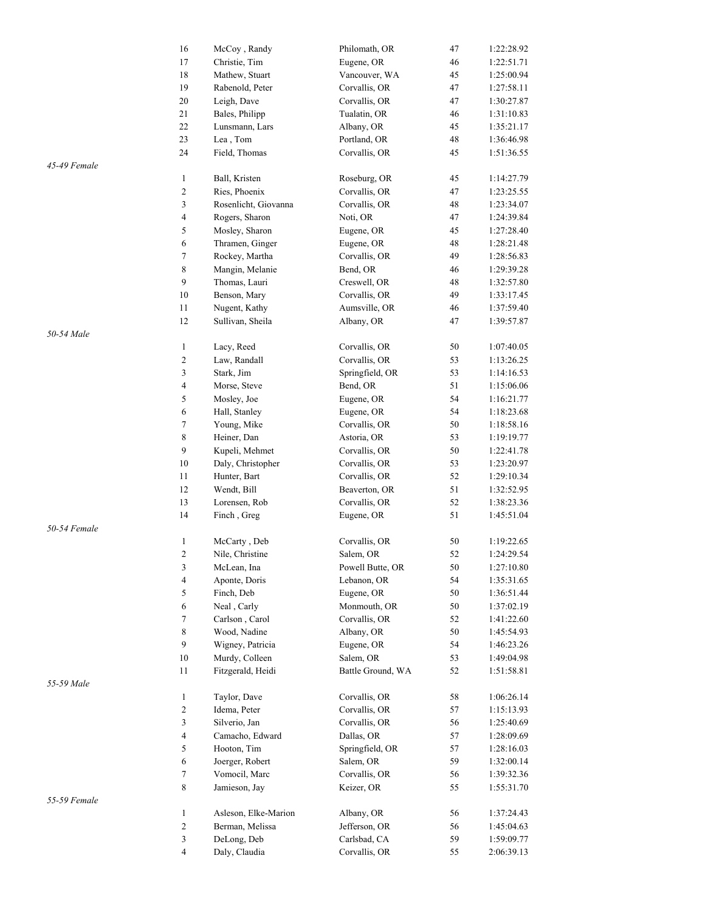|              | 16             | McCoy, Randy         | Philomath, OR     | 47 | 1:22:28.92 |
|--------------|----------------|----------------------|-------------------|----|------------|
|              | 17             | Christie, Tim        | Eugene, OR        | 46 | 1:22:51.71 |
|              | 18             | Mathew, Stuart       | Vancouver, WA     | 45 | 1:25:00.94 |
|              | 19             | Rabenold, Peter      | Corvallis, OR     | 47 | 1:27:58.11 |
|              | $20\,$         | Leigh, Dave          | Corvallis, OR     | 47 | 1:30:27.87 |
|              | 21             | Bales, Philipp       | Tualatin, OR      | 46 | 1:31:10.83 |
|              | $22\,$         | Lunsmann, Lars       | Albany, OR        | 45 | 1:35:21.17 |
|              | 23             | Lea, Tom             | Portland, OR      | 48 | 1:36:46.98 |
|              | 24             | Field, Thomas        | Corvallis, OR     | 45 | 1:51:36.55 |
| 45-49 Female |                |                      |                   |    |            |
|              | $\mathbf{1}$   | Ball, Kristen        | Roseburg, OR      | 45 | 1:14:27.79 |
|              |                | Ries, Phoenix        | Corvallis, OR     |    |            |
|              | 2              |                      |                   | 47 | 1:23:25.55 |
|              | 3              | Rosenlicht, Giovanna | Corvallis, OR     | 48 | 1:23:34.07 |
|              | 4              | Rogers, Sharon       | Noti, OR          | 47 | 1:24:39.84 |
|              | 5              | Mosley, Sharon       | Eugene, OR        | 45 | 1:27:28.40 |
|              | 6              | Thramen, Ginger      | Eugene, OR        | 48 | 1:28:21.48 |
|              | 7              | Rockey, Martha       | Corvallis, OR     | 49 | 1:28:56.83 |
|              | 8              | Mangin, Melanie      | Bend, OR          | 46 | 1:29:39.28 |
|              | 9              | Thomas, Lauri        | Creswell, OR      | 48 | 1:32:57.80 |
|              | 10             | Benson, Mary         | Corvallis, OR     | 49 | 1:33:17.45 |
|              | 11             | Nugent, Kathy        | Aumsville, OR     | 46 | 1:37:59.40 |
|              | 12             | Sullivan, Sheila     | Albany, OR        | 47 | 1:39:57.87 |
| 50-54 Male   |                |                      |                   |    |            |
|              | $\mathbf{1}$   | Lacy, Reed           | Corvallis, OR     | 50 | 1:07:40.05 |
|              | $\overline{c}$ |                      |                   | 53 |            |
|              |                | Law, Randall         | Corvallis, OR     |    | 1:13:26.25 |
|              | 3              | Stark, Jim           | Springfield, OR   | 53 | 1:14:16.53 |
|              | 4              | Morse, Steve         | Bend, OR          | 51 | 1:15:06.06 |
|              | 5              | Mosley, Joe          | Eugene, OR        | 54 | 1:16:21.77 |
|              | 6              | Hall, Stanley        | Eugene, OR        | 54 | 1:18:23.68 |
|              | 7              | Young, Mike          | Corvallis, OR     | 50 | 1:18:58.16 |
|              | 8              | Heiner, Dan          | Astoria, OR       | 53 | 1:19:19.77 |
|              | 9              | Kupeli, Mehmet       | Corvallis, OR     | 50 | 1:22:41.78 |
|              | 10             | Daly, Christopher    | Corvallis, OR     | 53 | 1:23:20.97 |
|              | 11             | Hunter, Bart         | Corvallis, OR     | 52 | 1:29:10.34 |
|              | 12             | Wendt, Bill          | Beaverton, OR     | 51 | 1:32:52.95 |
|              | 13             | Lorensen, Rob        | Corvallis, OR     | 52 | 1:38:23.36 |
|              | 14             | Finch, Greg          | Eugene, OR        | 51 | 1:45:51.04 |
| 50-54 Female |                |                      |                   |    |            |
|              | $\mathbf{1}$   |                      |                   | 50 | 1:19:22.65 |
|              |                | McCarty, Deb         | Corvallis, OR     |    |            |
|              | 2              | Nile, Christine      | Salem, OR         | 52 | 1:24:29.54 |
|              | 3              | McLean, Ina          | Powell Butte, OR  | 50 | 1:27:10.80 |
|              | 4              | Aponte, Doris        | Lebanon, OR       | 54 | 1:35:31.65 |
|              | 5              | Finch, Deb           | Eugene, OR        | 50 | 1:36:51.44 |
|              | 6              | Neal, Carly          | Monmouth, OR      | 50 | 1:37:02.19 |
|              | 7              | Carlson, Carol       | Corvallis, OR     | 52 | 1:41:22.60 |
|              | 8              | Wood, Nadine         | Albany, OR        | 50 | 1:45:54.93 |
|              | 9              | Wigney, Patricia     | Eugene, OR        | 54 | 1:46:23.26 |
|              | 10             | Murdy, Colleen       | Salem, OR         | 53 | 1:49:04.98 |
|              | 11             | Fitzgerald, Heidi    | Battle Ground, WA | 52 | 1:51:58.81 |
| 55-59 Male   |                |                      |                   |    |            |
|              | $\mathbf{1}$   | Taylor, Dave         | Corvallis, OR     | 58 | 1:06:26.14 |
|              | 2              | Idema, Peter         | Corvallis, OR     | 57 | 1:15:13.93 |
|              | 3              | Silverio, Jan        | Corvallis, OR     | 56 | 1:25:40.69 |
|              | 4              |                      |                   | 57 |            |
|              |                | Camacho, Edward      | Dallas, OR        |    | 1:28:09.69 |
|              | 5              | Hooton, Tim          | Springfield, OR   | 57 | 1:28:16.03 |
|              | 6              | Joerger, Robert      | Salem, OR         | 59 | 1:32:00.14 |
|              | 7              | Vomocil, Marc        | Corvallis, OR     | 56 | 1:39:32.36 |
|              | 8              | Jamieson, Jay        | Keizer, OR        | 55 | 1:55:31.70 |
| 55-59 Female |                |                      |                   |    |            |
|              | $\mathbf{1}$   | Asleson, Elke-Marion | Albany, OR        | 56 | 1:37:24.43 |
|              | 2              | Berman, Melissa      | Jefferson, OR     | 56 | 1:45:04.63 |
|              | 3              | DeLong, Deb          | Carlsbad, CA      | 59 | 1:59:09.77 |
|              | 4              | Daly, Claudia        | Corvallis, OR     | 55 | 2:06:39.13 |
|              |                |                      |                   |    |            |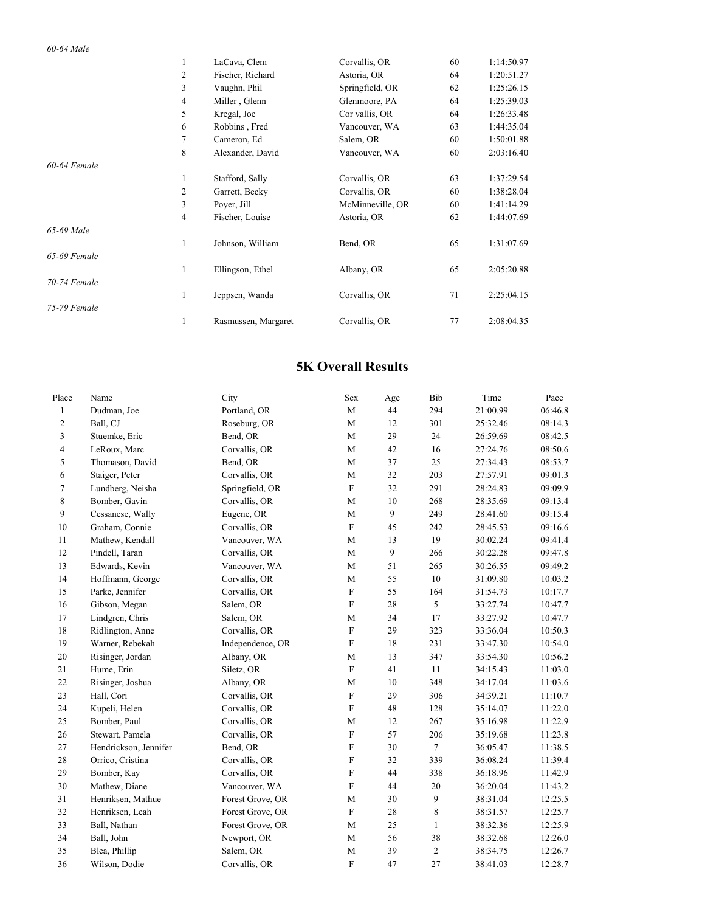#### *60-64 Male*

|              | 1            | LaCava, Clem        | Corvallis, OR    | 60 | 1:14:50.97 |
|--------------|--------------|---------------------|------------------|----|------------|
|              | 2            | Fischer, Richard    | Astoria, OR      | 64 | 1:20:51.27 |
|              | 3            | Vaughn, Phil        | Springfield, OR  | 62 | 1:25:26.15 |
|              | 4            | Miller, Glenn       | Glenmoore, PA    | 64 | 1:25:39.03 |
|              | 5            | Kregal, Joe         | Cor vallis, OR   | 64 | 1:26:33.48 |
|              | 6            | Robbins, Fred       | Vancouver, WA    | 63 | 1:44:35.04 |
|              | 7            | Cameron, Ed         | Salem, OR        | 60 | 1:50:01.88 |
|              | 8            | Alexander, David    | Vancouver, WA    | 60 | 2:03:16.40 |
| 60-64 Female |              |                     |                  |    |            |
|              | 1            | Stafford, Sally     | Corvallis, OR    | 63 | 1:37:29.54 |
|              | 2            | Garrett, Becky      | Corvallis, OR    | 60 | 1:38:28.04 |
|              | 3            | Poyer, Jill         | McMinneville, OR | 60 | 1:41:14.29 |
|              | 4            | Fischer, Louise     | Astoria, OR      | 62 | 1:44:07.69 |
| 65-69 Male   |              |                     |                  |    |            |
|              | 1            | Johnson, William    | Bend, OR         | 65 | 1:31:07.69 |
| 65-69 Female |              |                     |                  |    |            |
|              | $\mathbf{1}$ | Ellingson, Ethel    | Albany, OR       | 65 | 2:05:20.88 |
| 70-74 Female |              |                     |                  |    |            |
|              | 1            | Jeppsen, Wanda      | Corvallis, OR    | 71 | 2:25:04.15 |
| 75-79 Female |              |                     |                  |    |            |
|              | 1            | Rasmussen, Margaret | Corvallis, OR    | 77 | 2:08:04.35 |

### **5K Overall Results**

| Place          | Name                  | City             | Sex                       | Age | Bib          | Time     | Pace    |
|----------------|-----------------------|------------------|---------------------------|-----|--------------|----------|---------|
| $\mathbf{1}$   | Dudman, Joe           | Portland, OR     | $\mathbf M$               | 44  | 294          | 21:00.99 | 06:46.8 |
| $\overline{c}$ | Ball, CJ              | Roseburg, OR     | $\mathbf M$               | 12  | 301          | 25:32.46 | 08:14.3 |
| 3              | Stuemke, Eric         | Bend, OR         | M                         | 29  | 24           | 26:59.69 | 08:42.5 |
| $\overline{4}$ | LeRoux, Marc          | Corvallis, OR    | M                         | 42  | 16           | 27:24.76 | 08:50.6 |
| 5              | Thomason, David       | Bend, OR         | $\mathbf M$               | 37  | 25           | 27:34.43 | 08:53.7 |
| 6              | Staiger, Peter        | Corvallis, OR    | $\mathbf M$               | 32  | 203          | 27:57.91 | 09:01.3 |
| 7              | Lundberg, Neisha      | Springfield, OR  | $\mathbf F$               | 32  | 291          | 28:24.83 | 09:09.9 |
| 8              | Bomber, Gavin         | Corvallis, OR    | $\mathbf M$               | 10  | 268          | 28:35.69 | 09:13.4 |
| 9              | Cessanese, Wally      | Eugene, OR       | $\mathbf M$               | 9   | 249          | 28:41.60 | 09:15.4 |
| 10             | Graham, Connie        | Corvallis, OR    | $\mathbf{F}$              | 45  | 242          | 28:45.53 | 09:16.6 |
| 11             | Mathew, Kendall       | Vancouver, WA    | M                         | 13  | 19           | 30:02.24 | 09:41.4 |
| 12             | Pindell, Taran        | Corvallis, OR    | $\mathbf M$               | 9   | 266          | 30:22.28 | 09:47.8 |
| 13             | Edwards, Kevin        | Vancouver, WA    | $\mathbf M$               | 51  | 265          | 30:26.55 | 09:49.2 |
| 14             | Hoffmann, George      | Corvallis, OR    | M                         | 55  | 10           | 31:09.80 | 10:03.2 |
| 15             | Parke, Jennifer       | Corvallis, OR    | ${\bf F}$                 | 55  | 164          | 31:54.73 | 10:17.7 |
| 16             | Gibson, Megan         | Salem, OR        | $\mathbf F$               | 28  | 5            | 33:27.74 | 10:47.7 |
| 17             | Lindgren, Chris       | Salem, OR        | M                         | 34  | 17           | 33:27.92 | 10:47.7 |
| 18             | Ridlington, Anne      | Corvallis, OR    | $\mathbf{F}$              | 29  | 323          | 33:36.04 | 10:50.3 |
| 19             | Warner, Rebekah       | Independence, OR | $\mathbf F$               | 18  | 231          | 33:47.30 | 10:54.0 |
| 20             | Risinger, Jordan      | Albany, OR       | M                         | 13  | 347          | 33:54.30 | 10:56.2 |
| 21             | Hume, Erin            | Siletz, OR       | $\mathbf F$               | 41  | 11           | 34:15.43 | 11:03.0 |
| 22             | Risinger, Joshua      | Albany, OR       | $\mathbf M$               | 10  | 348          | 34:17.04 | 11:03.6 |
| 23             | Hall, Cori            | Corvallis, OR    | $\mathbf F$               | 29  | 306          | 34:39.21 | 11:10.7 |
| 24             | Kupeli, Helen         | Corvallis, OR    | $\overline{F}$            | 48  | 128          | 35:14.07 | 11:22.0 |
| 25             | Bomber, Paul          | Corvallis, OR    | M                         | 12  | 267          | 35:16.98 | 11:22.9 |
| 26             | Stewart, Pamela       | Corvallis, OR    | $\mathbf F$               | 57  | 206          | 35:19.68 | 11:23.8 |
| 27             | Hendrickson, Jennifer | Bend, OR         | $\mathbf F$               | 30  | $\tau$       | 36:05.47 | 11:38.5 |
| 28             | Orrico, Cristina      | Corvallis, OR    | $\mathbf F$               | 32  | 339          | 36:08.24 | 11:39.4 |
| 29             | Bomber, Kay           | Corvallis, OR    | $\mathbf F$               | 44  | 338          | 36:18.96 | 11:42.9 |
| 30             | Mathew, Diane         | Vancouver, WA    | ${\bf F}$                 | 44  | 20           | 36:20.04 | 11:43.2 |
| 31             | Henriksen, Mathue     | Forest Grove, OR | M                         | 30  | 9            | 38:31.04 | 12:25.5 |
| 32             | Henriksen, Leah       | Forest Grove, OR | $\boldsymbol{\mathrm{F}}$ | 28  | 8            | 38:31.57 | 12:25.7 |
| 33             | Ball, Nathan          | Forest Grove, OR | M                         | 25  | $\mathbf{1}$ | 38:32.36 | 12:25.9 |
| 34             | Ball, John            | Newport, OR      | M                         | 56  | 38           | 38:32.68 | 12:26.0 |
| 35             | Blea, Phillip         | Salem, OR        | $\mathbf M$               | 39  | $\sqrt{2}$   | 38:34.75 | 12:26.7 |
| 36             | Wilson, Dodie         | Corvallis, OR    | $\mathbf{F}$              | 47  | 27           | 38:41.03 | 12:28.7 |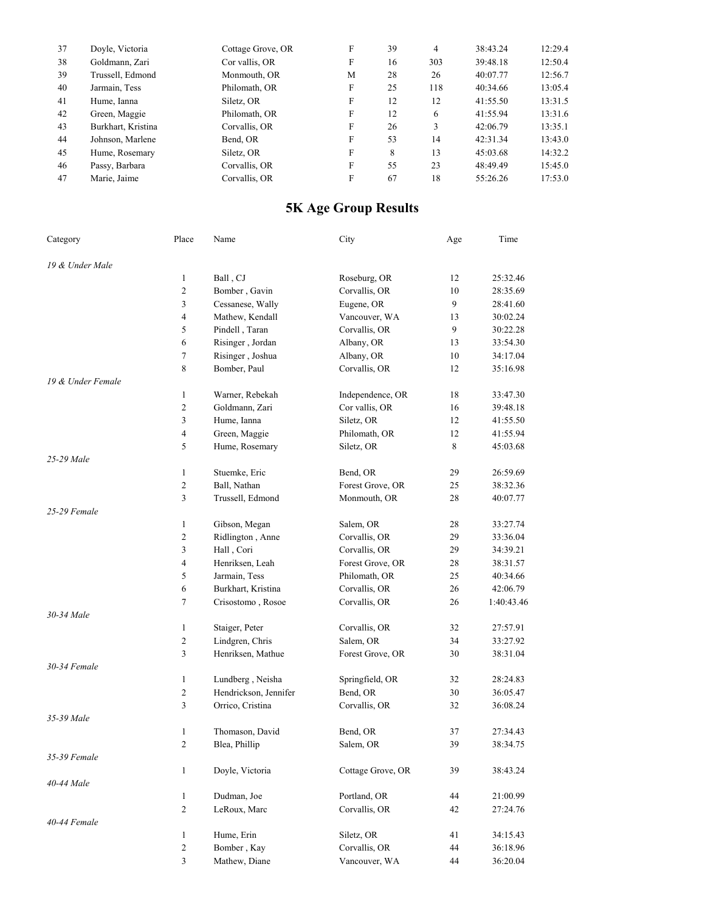| 37 | Doyle, Victoria    | Cottage Grove, OR | F | 39 | 4   | 38:43.24 | 12:29.4 |
|----|--------------------|-------------------|---|----|-----|----------|---------|
| 38 | Goldmann, Zari     | Cor vallis, OR    | F | 16 | 303 | 39:48.18 | 12:50.4 |
| 39 | Trussell, Edmond   | Monmouth, OR      | M | 28 | 26  | 40:07.77 | 12:56.7 |
| 40 | Jarmain, Tess      | Philomath, OR     | F | 25 | 118 | 40:34.66 | 13:05.4 |
| 41 | Hume, Ianna        | Siletz, OR        | F | 12 | 12  | 41:55.50 | 13:31.5 |
| 42 | Green, Maggie      | Philomath, OR     | F | 12 | 6   | 41:55.94 | 13:31.6 |
| 43 | Burkhart, Kristina | Corvallis, OR     | F | 26 | 3   | 42:06.79 | 13:35.1 |
| 44 | Johnson, Marlene   | Bend, OR          | F | 53 | 14  | 42:31.34 | 13:43.0 |
| 45 | Hume, Rosemary     | Siletz, OR        | F | 8  | 13  | 45:03.68 | 14:32.2 |
| 46 | Passy, Barbara     | Corvallis, OR     | F | 55 | 23  | 48:49.49 | 15:45.0 |
| 47 | Marie, Jaime       | Corvallis, OR     | F | 67 | 18  | 55:26.26 | 17:53.0 |
|    |                    |                   |   |    |     |          |         |

## **5K Age Group Results**

| Category          | Place          | Name                  | City              | Age | Time       |
|-------------------|----------------|-----------------------|-------------------|-----|------------|
| 19 & Under Male   |                |                       |                   |     |            |
|                   | 1              | Ball, CJ              | Roseburg, OR      | 12  | 25:32.46   |
|                   | 2              | Bomber, Gavin         | Corvallis, OR     | 10  | 28:35.69   |
|                   | 3              | Cessanese, Wally      | Eugene, OR        | 9   | 28:41.60   |
|                   | 4              | Mathew, Kendall       | Vancouver, WA     | 13  | 30:02.24   |
|                   | 5              | Pindell, Taran        | Corvallis, OR     | 9   | 30:22.28   |
|                   | 6              | Risinger, Jordan      | Albany, OR        | 13  | 33:54.30   |
|                   | 7              | Risinger, Joshua      | Albany, OR        | 10  | 34:17.04   |
|                   | 8              | Bomber, Paul          | Corvallis, OR     | 12  | 35:16.98   |
| 19 & Under Female |                |                       |                   |     |            |
|                   | $\mathbf{1}$   | Warner, Rebekah       | Independence, OR  | 18  | 33:47.30   |
|                   | $\overline{c}$ | Goldmann, Zari        | Cor vallis, OR    | 16  | 39:48.18   |
|                   | 3              | Hume, Ianna           | Siletz, OR        | 12  | 41:55.50   |
|                   | 4              | Green, Maggie         | Philomath, OR     | 12  | 41:55.94   |
|                   | 5              | Hume, Rosemary        | Siletz, OR        | 8   | 45:03.68   |
| 25-29 Male        |                |                       |                   |     |            |
|                   | $\mathbf{1}$   | Stuemke, Eric         | Bend, OR          | 29  | 26:59.69   |
|                   | 2              | Ball, Nathan          | Forest Grove, OR  | 25  | 38:32.36   |
|                   | 3              | Trussell, Edmond      | Monmouth, OR      | 28  | 40:07.77   |
| 25-29 Female      |                |                       |                   |     |            |
|                   | $\mathbf{1}$   | Gibson, Megan         | Salem, OR         | 28  | 33:27.74   |
|                   | 2              | Ridlington, Anne      | Corvallis, OR     | 29  | 33:36.04   |
|                   | 3              | Hall, Cori            | Corvallis, OR     | 29  | 34:39.21   |
|                   | 4              | Henriksen, Leah       | Forest Grove, OR  | 28  | 38:31.57   |
|                   | 5              | Jarmain, Tess         | Philomath, OR     | 25  | 40:34.66   |
|                   | 6              | Burkhart, Kristina    | Corvallis, OR     | 26  | 42:06.79   |
|                   | 7              | Crisostomo, Rosoe     | Corvallis, OR     | 26  | 1:40:43.46 |
| 30-34 Male        |                |                       |                   |     |            |
|                   | $\mathbf{1}$   | Staiger, Peter        | Corvallis, OR     | 32  | 27:57.91   |
|                   | 2              | Lindgren, Chris       | Salem, OR         | 34  | 33:27.92   |
|                   | 3              | Henriksen, Mathue     | Forest Grove, OR  | 30  | 38:31.04   |
| 30-34 Female      |                |                       |                   |     |            |
|                   | $\mathbf{1}$   | Lundberg, Neisha      | Springfield, OR   | 32  | 28:24.83   |
|                   | 2              | Hendrickson, Jennifer | Bend, OR          | 30  | 36:05.47   |
|                   | 3              | Orrico, Cristina      | Corvallis, OR     | 32  | 36:08.24   |
| 35-39 Male        |                |                       |                   |     |            |
|                   | $\mathbf{1}$   | Thomason, David       | Bend, OR          | 37  | 27:34.43   |
|                   | 2              | Blea, Phillip         | Salem, OR         | 39  | 38:34.75   |
| 35-39 Female      |                |                       |                   |     |            |
|                   | $\mathbf{1}$   | Doyle, Victoria       | Cottage Grove, OR | 39  | 38:43.24   |
| 40-44 Male        |                |                       |                   |     |            |
|                   | $\mathbf{1}$   | Dudman, Joe           | Portland, OR      | 44  | 21:00.99   |
|                   | 2              | LeRoux, Marc          | Corvallis, OR     | 42  | 27:24.76   |
| 40-44 Female      |                |                       |                   |     |            |
|                   | $\mathbf{1}$   | Hume, Erin            | Siletz, OR        | 41  | 34:15.43   |
|                   | $\overline{c}$ | Bomber, Kay           | Corvallis, OR     | 44  | 36:18.96   |
|                   | 3              | Mathew, Diane         | Vancouver, WA     | 44  | 36:20.04   |